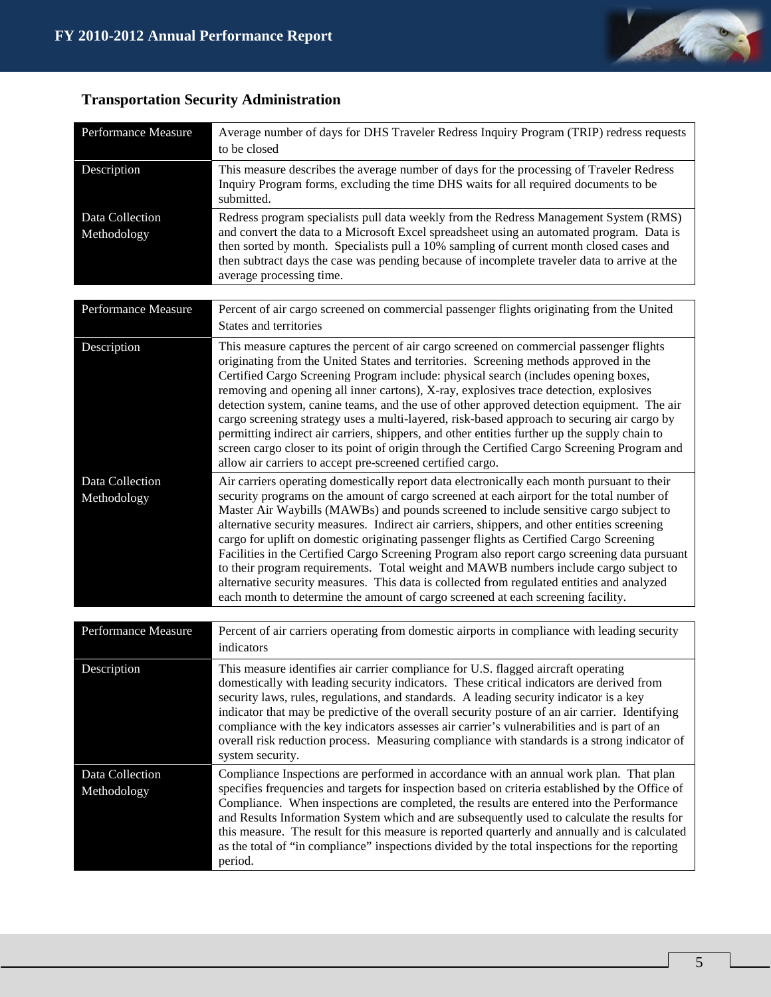

## **Transportation Security Administration**

| Performance Measure            | Average number of days for DHS Traveler Redress Inquiry Program (TRIP) redress requests<br>to be closed                                                                                                                                                                                                                                                                                                                                                                                                                                                                                                                                                                                                                                                                                                                                                  |
|--------------------------------|----------------------------------------------------------------------------------------------------------------------------------------------------------------------------------------------------------------------------------------------------------------------------------------------------------------------------------------------------------------------------------------------------------------------------------------------------------------------------------------------------------------------------------------------------------------------------------------------------------------------------------------------------------------------------------------------------------------------------------------------------------------------------------------------------------------------------------------------------------|
| Description                    | This measure describes the average number of days for the processing of Traveler Redress<br>Inquiry Program forms, excluding the time DHS waits for all required documents to be<br>submitted.                                                                                                                                                                                                                                                                                                                                                                                                                                                                                                                                                                                                                                                           |
| Data Collection<br>Methodology | Redress program specialists pull data weekly from the Redress Management System (RMS)<br>and convert the data to a Microsoft Excel spreadsheet using an automated program. Data is<br>then sorted by month. Specialists pull a 10% sampling of current month closed cases and<br>then subtract days the case was pending because of incomplete traveler data to arrive at the<br>average processing time.                                                                                                                                                                                                                                                                                                                                                                                                                                                |
| Performance Measure            | Percent of air cargo screened on commercial passenger flights originating from the United<br>States and territories                                                                                                                                                                                                                                                                                                                                                                                                                                                                                                                                                                                                                                                                                                                                      |
| Description                    | This measure captures the percent of air cargo screened on commercial passenger flights<br>originating from the United States and territories. Screening methods approved in the<br>Certified Cargo Screening Program include: physical search (includes opening boxes,<br>removing and opening all inner cartons), X-ray, explosives trace detection, explosives<br>detection system, canine teams, and the use of other approved detection equipment. The air<br>cargo screening strategy uses a multi-layered, risk-based approach to securing air cargo by<br>permitting indirect air carriers, shippers, and other entities further up the supply chain to<br>screen cargo closer to its point of origin through the Certified Cargo Screening Program and<br>allow air carriers to accept pre-screened certified cargo.                            |
| Data Collection<br>Methodology | Air carriers operating domestically report data electronically each month pursuant to their<br>security programs on the amount of cargo screened at each airport for the total number of<br>Master Air Waybills (MAWBs) and pounds screened to include sensitive cargo subject to<br>alternative security measures. Indirect air carriers, shippers, and other entities screening<br>cargo for uplift on domestic originating passenger flights as Certified Cargo Screening<br>Facilities in the Certified Cargo Screening Program also report cargo screening data pursuant<br>to their program requirements. Total weight and MAWB numbers include cargo subject to<br>alternative security measures. This data is collected from regulated entities and analyzed<br>each month to determine the amount of cargo screened at each screening facility. |
| Performance Measure            | Percent of air carriers operating from domestic airports in compliance with leading security<br>indicators                                                                                                                                                                                                                                                                                                                                                                                                                                                                                                                                                                                                                                                                                                                                               |
| Description                    | This measure identifies air carrier compliance for U.S. flagged aircraft operating<br>domestically with leading security indicators. These critical indicators are derived from<br>security laws, rules, regulations, and standards. A leading security indicator is a key<br>indicator that may be predictive of the overall security posture of an air carrier. Identifying<br>compliance with the key indicators assesses air carrier's vulnerabilities and is part of an<br>overall risk reduction process. Measuring compliance with standards is a strong indicator of<br>system security.                                                                                                                                                                                                                                                         |
| Data Collection<br>Methodology | Compliance Inspections are performed in accordance with an annual work plan. That plan<br>specifies frequencies and targets for inspection based on criteria established by the Office of<br>Compliance. When inspections are completed, the results are entered into the Performance<br>and Results Information System which and are subsequently used to calculate the results for<br>this measure. The result for this measure is reported quarterly and annually and is calculated<br>as the total of "in compliance" inspections divided by the total inspections for the reporting<br>period.                                                                                                                                                                                                                                                      |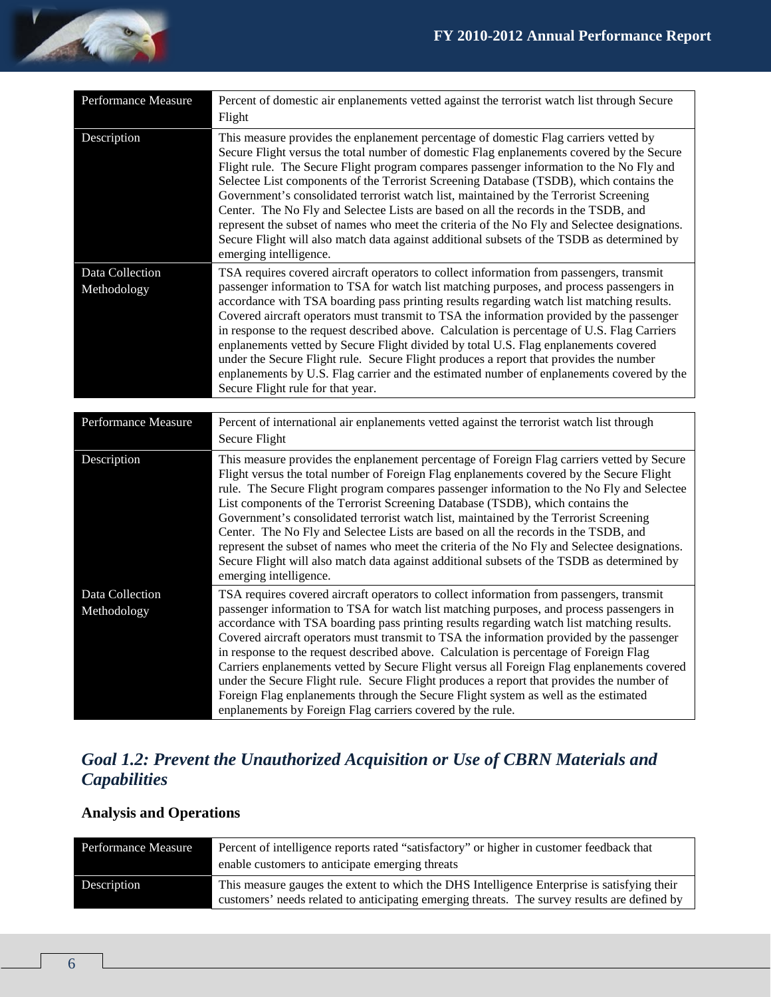

| Performance Measure            | Percent of domestic air enplanements vetted against the terrorist watch list through Secure<br>Flight                                                                                                                                                                                                                                                                                                                                                                                                                                                                                                                                                                                                                                                                                                                   |
|--------------------------------|-------------------------------------------------------------------------------------------------------------------------------------------------------------------------------------------------------------------------------------------------------------------------------------------------------------------------------------------------------------------------------------------------------------------------------------------------------------------------------------------------------------------------------------------------------------------------------------------------------------------------------------------------------------------------------------------------------------------------------------------------------------------------------------------------------------------------|
| Description                    | This measure provides the enplanement percentage of domestic Flag carriers vetted by<br>Secure Flight versus the total number of domestic Flag enplanements covered by the Secure<br>Flight rule. The Secure Flight program compares passenger information to the No Fly and<br>Selectee List components of the Terrorist Screening Database (TSDB), which contains the<br>Government's consolidated terrorist watch list, maintained by the Terrorist Screening<br>Center. The No Fly and Selectee Lists are based on all the records in the TSDB, and<br>represent the subset of names who meet the criteria of the No Fly and Selectee designations.<br>Secure Flight will also match data against additional subsets of the TSDB as determined by<br>emerging intelligence.                                         |
| Data Collection<br>Methodology | TSA requires covered aircraft operators to collect information from passengers, transmit<br>passenger information to TSA for watch list matching purposes, and process passengers in<br>accordance with TSA boarding pass printing results regarding watch list matching results.<br>Covered aircraft operators must transmit to TSA the information provided by the passenger<br>in response to the request described above. Calculation is percentage of U.S. Flag Carriers<br>enplanements vetted by Secure Flight divided by total U.S. Flag enplanements covered<br>under the Secure Flight rule. Secure Flight produces a report that provides the number<br>enplanements by U.S. Flag carrier and the estimated number of enplanements covered by the<br>Secure Flight rule for that year.                       |
|                                |                                                                                                                                                                                                                                                                                                                                                                                                                                                                                                                                                                                                                                                                                                                                                                                                                         |
| Performance Measure            | Percent of international air enplanements vetted against the terrorist watch list through<br>Secure Flight                                                                                                                                                                                                                                                                                                                                                                                                                                                                                                                                                                                                                                                                                                              |
| Description                    | This measure provides the enplanement percentage of Foreign Flag carriers vetted by Secure<br>Flight versus the total number of Foreign Flag enplanements covered by the Secure Flight<br>rule. The Secure Flight program compares passenger information to the No Fly and Selectee<br>List components of the Terrorist Screening Database (TSDB), which contains the<br>Government's consolidated terrorist watch list, maintained by the Terrorist Screening<br>Center. The No Fly and Selectee Lists are based on all the records in the TSDB, and<br>represent the subset of names who meet the criteria of the No Fly and Selectee designations.<br>Secure Flight will also match data against additional subsets of the TSDB as determined by<br>emerging intelligence.                                           |
| Data Collection<br>Methodology | TSA requires covered aircraft operators to collect information from passengers, transmit<br>passenger information to TSA for watch list matching purposes, and process passengers in<br>accordance with TSA boarding pass printing results regarding watch list matching results.<br>Covered aircraft operators must transmit to TSA the information provided by the passenger<br>in response to the request described above. Calculation is percentage of Foreign Flag<br>Carriers enplanements vetted by Secure Flight versus all Foreign Flag enplanements covered<br>under the Secure Flight rule. Secure Flight produces a report that provides the number of<br>Foreign Flag enplanements through the Secure Flight system as well as the estimated<br>enplanements by Foreign Flag carriers covered by the rule. |

### *Goal 1.2: Prevent the Unauthorized Acquisition or Use of CBRN Materials and Capabilities*

### **Analysis and Operations**

| Performance Measure | Percent of intelligence reports rated "satisfactory" or higher in customer feedback that<br>enable customers to anticipate emerging threats                                                 |
|---------------------|---------------------------------------------------------------------------------------------------------------------------------------------------------------------------------------------|
| Description         | This measure gauges the extent to which the DHS Intelligence Enterprise is satisfying their<br>customers' needs related to anticipating emerging threats. The survey results are defined by |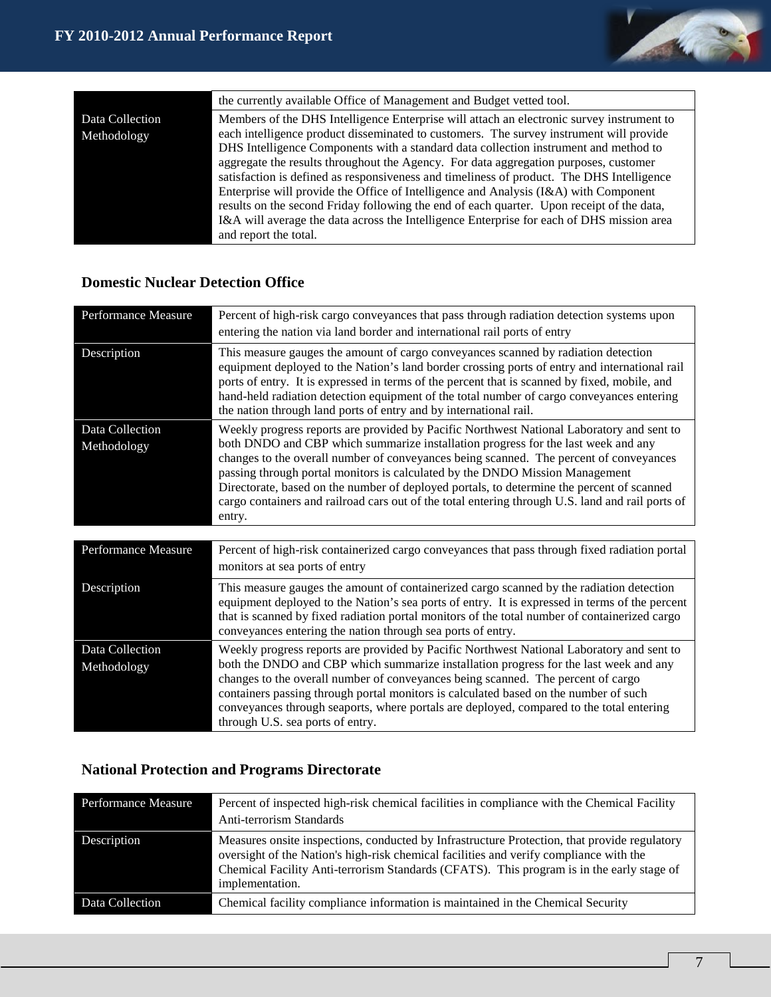

|                 | the currently available Office of Management and Budget vetted tool.                      |
|-----------------|-------------------------------------------------------------------------------------------|
| Data Collection | Members of the DHS Intelligence Enterprise will attach an electronic survey instrument to |
| Methodology     | each intelligence product disseminated to customers. The survey instrument will provide   |
|                 | DHS Intelligence Components with a standard data collection instrument and method to      |
|                 | aggregate the results throughout the Agency. For data aggregation purposes, customer      |
|                 | satisfaction is defined as responsiveness and timeliness of product. The DHS Intelligence |
|                 | Enterprise will provide the Office of Intelligence and Analysis (I&A) with Component      |
|                 | results on the second Friday following the end of each quarter. Upon receipt of the data, |
|                 | I&A will average the data across the Intelligence Enterprise for each of DHS mission area |
|                 | and report the total.                                                                     |

#### **Domestic Nuclear Detection Office**

| Performance Measure            | Percent of high-risk cargo conveyances that pass through radiation detection systems upon                                                                                                                                                                                                                                                                                                                                                                                                                                                                           |
|--------------------------------|---------------------------------------------------------------------------------------------------------------------------------------------------------------------------------------------------------------------------------------------------------------------------------------------------------------------------------------------------------------------------------------------------------------------------------------------------------------------------------------------------------------------------------------------------------------------|
|                                | entering the nation via land border and international rail ports of entry                                                                                                                                                                                                                                                                                                                                                                                                                                                                                           |
| Description                    | This measure gauges the amount of cargo conveyances scanned by radiation detection<br>equipment deployed to the Nation's land border crossing ports of entry and international rail<br>ports of entry. It is expressed in terms of the percent that is scanned by fixed, mobile, and<br>hand-held radiation detection equipment of the total number of cargo conveyances entering<br>the nation through land ports of entry and by international rail.                                                                                                              |
| Data Collection<br>Methodology | Weekly progress reports are provided by Pacific Northwest National Laboratory and sent to<br>both DNDO and CBP which summarize installation progress for the last week and any<br>changes to the overall number of conveyances being scanned. The percent of conveyances<br>passing through portal monitors is calculated by the DNDO Mission Management<br>Directorate, based on the number of deployed portals, to determine the percent of scanned<br>cargo containers and railroad cars out of the total entering through U.S. land and rail ports of<br>entry. |
|                                |                                                                                                                                                                                                                                                                                                                                                                                                                                                                                                                                                                     |
| Performance Measure            | Percent of high-risk containerized cargo conveyances that pass through fixed radiation portal<br>monitors at sea ports of entry                                                                                                                                                                                                                                                                                                                                                                                                                                     |
| Description                    | This measure gauges the amount of containerized cargo scanned by the radiation detection<br>equipment deployed to the Nation's sea ports of entry. It is expressed in terms of the percent<br>that is scanned by fixed radiation portal monitors of the total number of containerized cargo<br>conveyances entering the nation through sea ports of entry.                                                                                                                                                                                                          |
| Data Collection<br>Methodology | Weekly progress reports are provided by Pacific Northwest National Laboratory and sent to<br>both the DNDO and CBP which summarize installation progress for the last week and any<br>changes to the overall number of conveyances being scanned. The percent of cargo<br>containers passing through portal monitors is calculated based on the number of such<br>conveyances through seaports, where portals are deployed, compared to the total entering<br>through U.S. sea ports of entry.                                                                      |

| <b>Performance Measure</b> | Percent of inspected high-risk chemical facilities in compliance with the Chemical Facility<br>Anti-terrorism Standards                                                                                                                                                                                |
|----------------------------|--------------------------------------------------------------------------------------------------------------------------------------------------------------------------------------------------------------------------------------------------------------------------------------------------------|
| Description                | Measures onsite inspections, conducted by Infrastructure Protection, that provide regulatory<br>oversight of the Nation's high-risk chemical facilities and verify compliance with the<br>Chemical Facility Anti-terrorism Standards (CFATS). This program is in the early stage of<br>implementation. |
| Data Collection            | Chemical facility compliance information is maintained in the Chemical Security                                                                                                                                                                                                                        |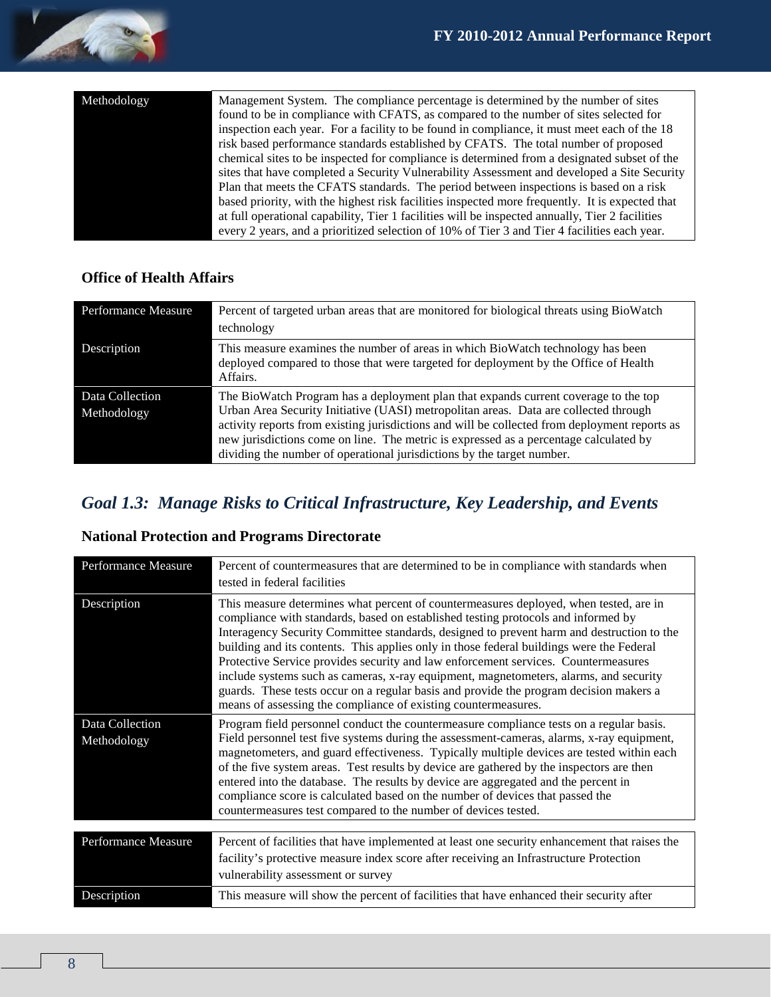

| Management System. The compliance percentage is determined by the number of sites               |
|-------------------------------------------------------------------------------------------------|
| found to be in compliance with CFATS, as compared to the number of sites selected for           |
| inspection each year. For a facility to be found in compliance, it must meet each of the 18     |
| risk based performance standards established by CFATS. The total number of proposed             |
| chemical sites to be inspected for compliance is determined from a designated subset of the     |
| sites that have completed a Security Vulnerability Assessment and developed a Site Security     |
| Plan that meets the CFATS standards. The period between inspections is based on a risk          |
| based priority, with the highest risk facilities inspected more frequently. It is expected that |
| at full operational capability, Tier 1 facilities will be inspected annually, Tier 2 facilities |
| every 2 years, and a prioritized selection of 10% of Tier 3 and Tier 4 facilities each year.    |
|                                                                                                 |

#### **Office of Health Affairs**

| <b>Performance Measure</b>     | Percent of targeted urban areas that are monitored for biological threats using BioWatch<br>technology                                                                                                                                                                                                                                                                                                                                          |
|--------------------------------|-------------------------------------------------------------------------------------------------------------------------------------------------------------------------------------------------------------------------------------------------------------------------------------------------------------------------------------------------------------------------------------------------------------------------------------------------|
| Description                    | This measure examines the number of areas in which BioWatch technology has been<br>deployed compared to those that were targeted for deployment by the Office of Health<br>Affairs.                                                                                                                                                                                                                                                             |
| Data Collection<br>Methodology | The BioWatch Program has a deployment plan that expands current coverage to the top<br>Urban Area Security Initiative (UASI) metropolitan areas. Data are collected through<br>activity reports from existing jurisdictions and will be collected from deployment reports as<br>new jurisdictions come on line. The metric is expressed as a percentage calculated by<br>dividing the number of operational jurisdictions by the target number. |

## *Goal 1.3: Manage Risks to Critical Infrastructure, Key Leadership, and Events*

| Performance Measure            | Percent of countermeasures that are determined to be in compliance with standards when<br>tested in federal facilities                                                                                                                                                                                                                                                                                                                                                                                                                                                                                                                                                                                         |
|--------------------------------|----------------------------------------------------------------------------------------------------------------------------------------------------------------------------------------------------------------------------------------------------------------------------------------------------------------------------------------------------------------------------------------------------------------------------------------------------------------------------------------------------------------------------------------------------------------------------------------------------------------------------------------------------------------------------------------------------------------|
| Description                    | This measure determines what percent of countermeasures deployed, when tested, are in<br>compliance with standards, based on established testing protocols and informed by<br>Interagency Security Committee standards, designed to prevent harm and destruction to the<br>building and its contents. This applies only in those federal buildings were the Federal<br>Protective Service provides security and law enforcement services. Countermeasures<br>include systems such as cameras, x-ray equipment, magnetometers, alarms, and security<br>guards. These tests occur on a regular basis and provide the program decision makers a<br>means of assessing the compliance of existing countermeasures. |
| Data Collection<br>Methodology | Program field personnel conduct the countermeasure compliance tests on a regular basis.<br>Field personnel test five systems during the assessment-cameras, alarms, x-ray equipment,<br>magnetometers, and guard effectiveness. Typically multiple devices are tested within each<br>of the five system areas. Test results by device are gathered by the inspectors are then<br>entered into the database. The results by device are aggregated and the percent in<br>compliance score is calculated based on the number of devices that passed the<br>countermeasures test compared to the number of devices tested.                                                                                         |
| <b>Performance Measure</b>     | Percent of facilities that have implemented at least one security enhancement that raises the<br>facility's protective measure index score after receiving an Infrastructure Protection<br>vulnerability assessment or survey                                                                                                                                                                                                                                                                                                                                                                                                                                                                                  |
| Description                    | This measure will show the percent of facilities that have enhanced their security after                                                                                                                                                                                                                                                                                                                                                                                                                                                                                                                                                                                                                       |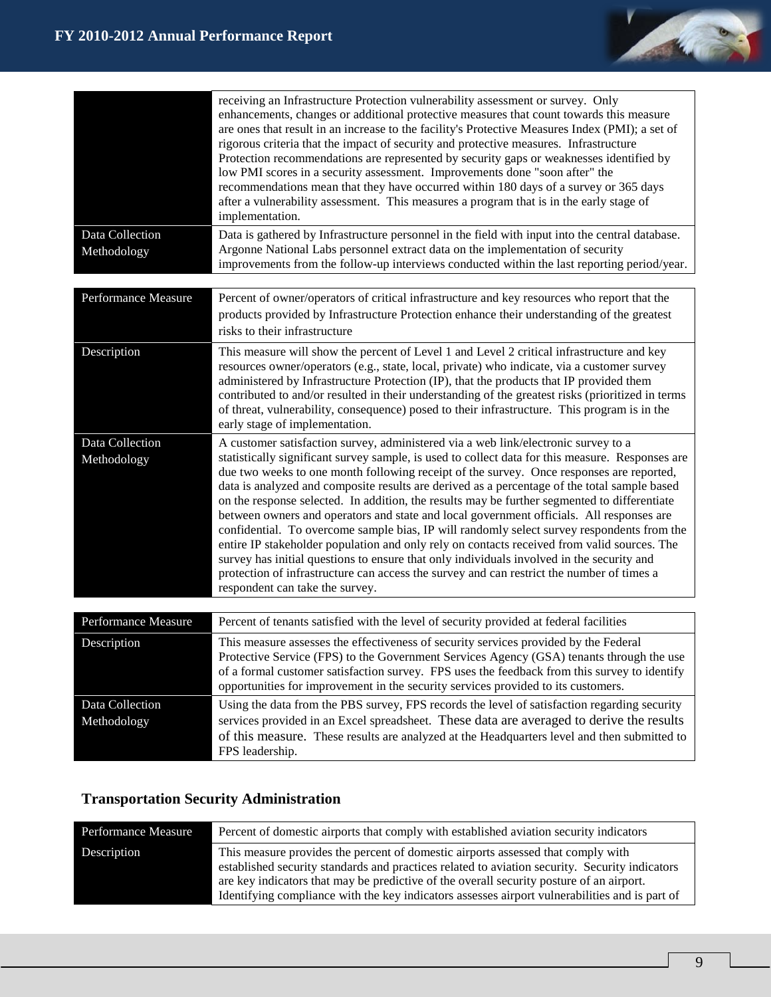

|                                | receiving an Infrastructure Protection vulnerability assessment or survey. Only<br>enhancements, changes or additional protective measures that count towards this measure<br>are ones that result in an increase to the facility's Protective Measures Index (PMI); a set of<br>rigorous criteria that the impact of security and protective measures. Infrastructure<br>Protection recommendations are represented by security gaps or weaknesses identified by<br>low PMI scores in a security assessment. Improvements done "soon after" the<br>recommendations mean that they have occurred within 180 days of a survey or 365 days<br>after a vulnerability assessment. This measures a program that is in the early stage of<br>implementation.                                                                                                                                                                                                                                                   |
|--------------------------------|----------------------------------------------------------------------------------------------------------------------------------------------------------------------------------------------------------------------------------------------------------------------------------------------------------------------------------------------------------------------------------------------------------------------------------------------------------------------------------------------------------------------------------------------------------------------------------------------------------------------------------------------------------------------------------------------------------------------------------------------------------------------------------------------------------------------------------------------------------------------------------------------------------------------------------------------------------------------------------------------------------|
| Data Collection<br>Methodology | Data is gathered by Infrastructure personnel in the field with input into the central database.<br>Argonne National Labs personnel extract data on the implementation of security<br>improvements from the follow-up interviews conducted within the last reporting period/year.                                                                                                                                                                                                                                                                                                                                                                                                                                                                                                                                                                                                                                                                                                                         |
| <b>Performance Measure</b>     | Percent of owner/operators of critical infrastructure and key resources who report that the<br>products provided by Infrastructure Protection enhance their understanding of the greatest<br>risks to their infrastructure                                                                                                                                                                                                                                                                                                                                                                                                                                                                                                                                                                                                                                                                                                                                                                               |
| Description                    | This measure will show the percent of Level 1 and Level 2 critical infrastructure and key<br>resources owner/operators (e.g., state, local, private) who indicate, via a customer survey<br>administered by Infrastructure Protection (IP), that the products that IP provided them<br>contributed to and/or resulted in their understanding of the greatest risks (prioritized in terms<br>of threat, vulnerability, consequence) posed to their infrastructure. This program is in the<br>early stage of implementation.                                                                                                                                                                                                                                                                                                                                                                                                                                                                               |
| Data Collection<br>Methodology | A customer satisfaction survey, administered via a web link/electronic survey to a<br>statistically significant survey sample, is used to collect data for this measure. Responses are<br>due two weeks to one month following receipt of the survey. Once responses are reported,<br>data is analyzed and composite results are derived as a percentage of the total sample based<br>on the response selected. In addition, the results may be further segmented to differentiate<br>between owners and operators and state and local government officials. All responses are<br>confidential. To overcome sample bias, IP will randomly select survey respondents from the<br>entire IP stakeholder population and only rely on contacts received from valid sources. The<br>survey has initial questions to ensure that only individuals involved in the security and<br>protection of infrastructure can access the survey and can restrict the number of times a<br>respondent can take the survey. |
| Performance Measure            | Percent of tenants satisfied with the level of security provided at federal facilities                                                                                                                                                                                                                                                                                                                                                                                                                                                                                                                                                                                                                                                                                                                                                                                                                                                                                                                   |
| Description                    | This measure assesses the effectiveness of security services provided by the Federal<br>Protective Service (FPS) to the Government Services Agency (GSA) tenants through the use<br>of a formal customer satisfaction survey. FPS uses the feedback from this survey to identify<br>opportunities for improvement in the security services provided to its customers.                                                                                                                                                                                                                                                                                                                                                                                                                                                                                                                                                                                                                                    |
| Data Collection<br>Methodology | Using the data from the PBS survey, FPS records the level of satisfaction regarding security<br>services provided in an Excel spreadsheet. These data are averaged to derive the results<br>of this measure. These results are analyzed at the Headquarters level and then submitted to<br>FPS leadership.                                                                                                                                                                                                                                                                                                                                                                                                                                                                                                                                                                                                                                                                                               |

#### **Transportation Security Administration**

| Performance Measure | Percent of domestic airports that comply with established aviation security indicators                                                                                                                                                                                                                                                                                           |
|---------------------|----------------------------------------------------------------------------------------------------------------------------------------------------------------------------------------------------------------------------------------------------------------------------------------------------------------------------------------------------------------------------------|
| Description         | This measure provides the percent of domestic airports assessed that comply with<br>established security standards and practices related to aviation security. Security indicators<br>are key indicators that may be predictive of the overall security posture of an airport.<br>Identifying compliance with the key indicators assesses airport vulnerabilities and is part of |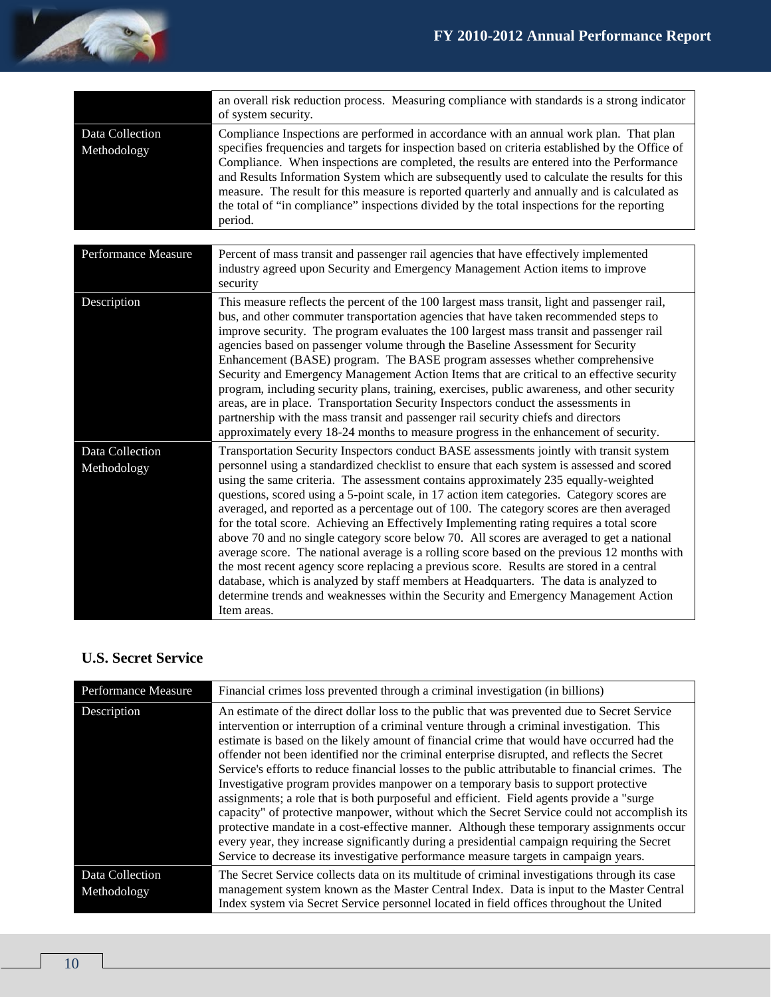

|                                | an overall risk reduction process. Measuring compliance with standards is a strong indicator<br>of system security.                                                                                                                                                                                                                                                                                                                                                                                                                                                                                                                                                                                                                                                                                                                                                                                                                                                                                                                                       |
|--------------------------------|-----------------------------------------------------------------------------------------------------------------------------------------------------------------------------------------------------------------------------------------------------------------------------------------------------------------------------------------------------------------------------------------------------------------------------------------------------------------------------------------------------------------------------------------------------------------------------------------------------------------------------------------------------------------------------------------------------------------------------------------------------------------------------------------------------------------------------------------------------------------------------------------------------------------------------------------------------------------------------------------------------------------------------------------------------------|
| Data Collection<br>Methodology | Compliance Inspections are performed in accordance with an annual work plan. That plan<br>specifies frequencies and targets for inspection based on criteria established by the Office of<br>Compliance. When inspections are completed, the results are entered into the Performance<br>and Results Information System which are subsequently used to calculate the results for this<br>measure. The result for this measure is reported quarterly and annually and is calculated as<br>the total of "in compliance" inspections divided by the total inspections for the reporting<br>period.                                                                                                                                                                                                                                                                                                                                                                                                                                                           |
|                                |                                                                                                                                                                                                                                                                                                                                                                                                                                                                                                                                                                                                                                                                                                                                                                                                                                                                                                                                                                                                                                                           |
| Performance Measure            | Percent of mass transit and passenger rail agencies that have effectively implemented<br>industry agreed upon Security and Emergency Management Action items to improve<br>security                                                                                                                                                                                                                                                                                                                                                                                                                                                                                                                                                                                                                                                                                                                                                                                                                                                                       |
| Description                    | This measure reflects the percent of the 100 largest mass transit, light and passenger rail,<br>bus, and other commuter transportation agencies that have taken recommended steps to<br>improve security. The program evaluates the 100 largest mass transit and passenger rail<br>agencies based on passenger volume through the Baseline Assessment for Security<br>Enhancement (BASE) program. The BASE program assesses whether comprehensive<br>Security and Emergency Management Action Items that are critical to an effective security<br>program, including security plans, training, exercises, public awareness, and other security<br>areas, are in place. Transportation Security Inspectors conduct the assessments in<br>partnership with the mass transit and passenger rail security chiefs and directors<br>approximately every 18-24 months to measure progress in the enhancement of security.                                                                                                                                        |
| Data Collection<br>Methodology | Transportation Security Inspectors conduct BASE assessments jointly with transit system<br>personnel using a standardized checklist to ensure that each system is assessed and scored<br>using the same criteria. The assessment contains approximately 235 equally-weighted<br>questions, scored using a 5-point scale, in 17 action item categories. Category scores are<br>averaged, and reported as a percentage out of 100. The category scores are then averaged<br>for the total score. Achieving an Effectively Implementing rating requires a total score<br>above 70 and no single category score below 70. All scores are averaged to get a national<br>average score. The national average is a rolling score based on the previous 12 months with<br>the most recent agency score replacing a previous score. Results are stored in a central<br>database, which is analyzed by staff members at Headquarters. The data is analyzed to<br>determine trends and weaknesses within the Security and Emergency Management Action<br>Item areas. |

### **U.S. Secret Service**

| Performance Measure            | Financial crimes loss prevented through a criminal investigation (in billions)                                                                                                                                                                                                                                                                                                                                                                                                                                                                                                                                                                                                                                                                                                                                                                                                                                                                                                                                                                                   |
|--------------------------------|------------------------------------------------------------------------------------------------------------------------------------------------------------------------------------------------------------------------------------------------------------------------------------------------------------------------------------------------------------------------------------------------------------------------------------------------------------------------------------------------------------------------------------------------------------------------------------------------------------------------------------------------------------------------------------------------------------------------------------------------------------------------------------------------------------------------------------------------------------------------------------------------------------------------------------------------------------------------------------------------------------------------------------------------------------------|
| Description                    | An estimate of the direct dollar loss to the public that was prevented due to Secret Service<br>intervention or interruption of a criminal venture through a criminal investigation. This<br>estimate is based on the likely amount of financial crime that would have occurred had the<br>offender not been identified nor the criminal enterprise disrupted, and reflects the Secret<br>Service's efforts to reduce financial losses to the public attributable to financial crimes. The<br>Investigative program provides manpower on a temporary basis to support protective<br>assignments; a role that is both purposeful and efficient. Field agents provide a "surge"<br>capacity" of protective manpower, without which the Secret Service could not accomplish its<br>protective mandate in a cost-effective manner. Although these temporary assignments occur<br>every year, they increase significantly during a presidential campaign requiring the Secret<br>Service to decrease its investigative performance measure targets in campaign years. |
| Data Collection<br>Methodology | The Secret Service collects data on its multitude of criminal investigations through its case<br>management system known as the Master Central Index. Data is input to the Master Central<br>Index system via Secret Service personnel located in field offices throughout the United                                                                                                                                                                                                                                                                                                                                                                                                                                                                                                                                                                                                                                                                                                                                                                            |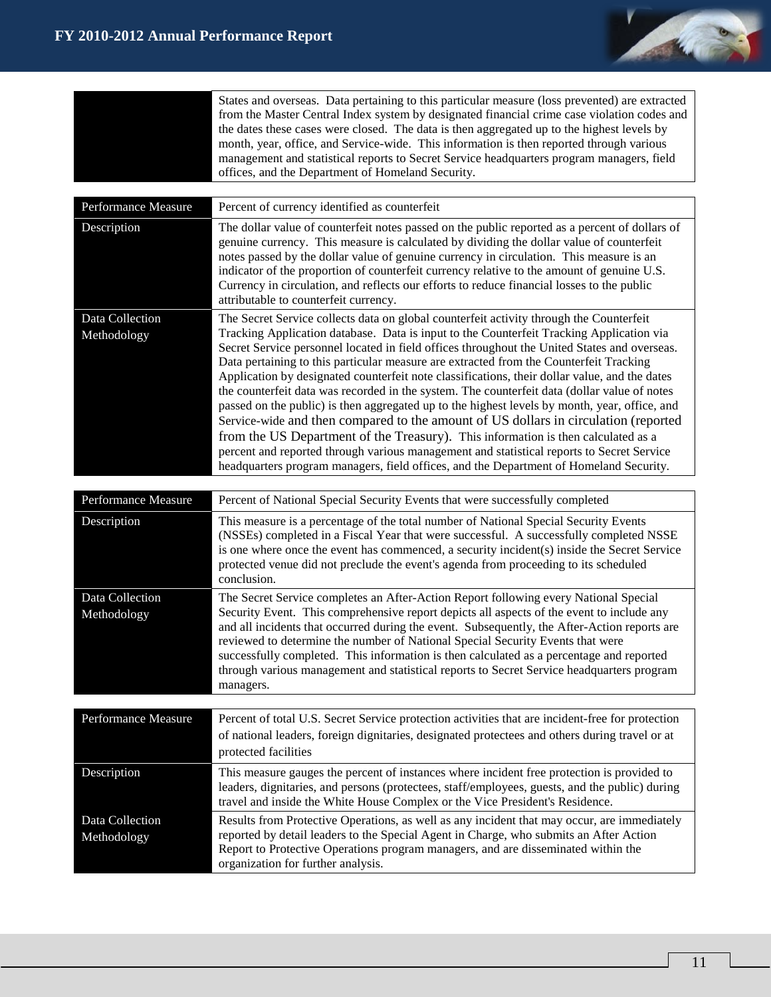<u>e de la componentación de la componentación de la componentación de la componentación de la componentación de</u>



|                                | States and overseas. Data pertaining to this particular measure (loss prevented) are extracted<br>from the Master Central Index system by designated financial crime case violation codes and<br>the dates these cases were closed. The data is then aggregated up to the highest levels by<br>month, year, office, and Service-wide. This information is then reported through various<br>management and statistical reports to Secret Service headquarters program managers, field<br>offices, and the Department of Homeland Security.                                                                                                                                                                                                                                                                                                                                                                                                                                                                                                          |
|--------------------------------|----------------------------------------------------------------------------------------------------------------------------------------------------------------------------------------------------------------------------------------------------------------------------------------------------------------------------------------------------------------------------------------------------------------------------------------------------------------------------------------------------------------------------------------------------------------------------------------------------------------------------------------------------------------------------------------------------------------------------------------------------------------------------------------------------------------------------------------------------------------------------------------------------------------------------------------------------------------------------------------------------------------------------------------------------|
| Performance Measure            | Percent of currency identified as counterfeit                                                                                                                                                                                                                                                                                                                                                                                                                                                                                                                                                                                                                                                                                                                                                                                                                                                                                                                                                                                                      |
| Description                    | The dollar value of counterfeit notes passed on the public reported as a percent of dollars of<br>genuine currency. This measure is calculated by dividing the dollar value of counterfeit<br>notes passed by the dollar value of genuine currency in circulation. This measure is an<br>indicator of the proportion of counterfeit currency relative to the amount of genuine U.S.<br>Currency in circulation, and reflects our efforts to reduce financial losses to the public<br>attributable to counterfeit currency.                                                                                                                                                                                                                                                                                                                                                                                                                                                                                                                         |
| Data Collection<br>Methodology | The Secret Service collects data on global counterfeit activity through the Counterfeit<br>Tracking Application database. Data is input to the Counterfeit Tracking Application via<br>Secret Service personnel located in field offices throughout the United States and overseas.<br>Data pertaining to this particular measure are extracted from the Counterfeit Tracking<br>Application by designated counterfeit note classifications, their dollar value, and the dates<br>the counterfeit data was recorded in the system. The counterfeit data (dollar value of notes<br>passed on the public) is then aggregated up to the highest levels by month, year, office, and<br>Service-wide and then compared to the amount of US dollars in circulation (reported<br>from the US Department of the Treasury). This information is then calculated as a<br>percent and reported through various management and statistical reports to Secret Service<br>headquarters program managers, field offices, and the Department of Homeland Security. |
|                                |                                                                                                                                                                                                                                                                                                                                                                                                                                                                                                                                                                                                                                                                                                                                                                                                                                                                                                                                                                                                                                                    |
| Performance Measure            |                                                                                                                                                                                                                                                                                                                                                                                                                                                                                                                                                                                                                                                                                                                                                                                                                                                                                                                                                                                                                                                    |
| Description                    | Percent of National Special Security Events that were successfully completed<br>This measure is a percentage of the total number of National Special Security Events<br>(NSSEs) completed in a Fiscal Year that were successful. A successfully completed NSSE<br>is one where once the event has commenced, a security incident(s) inside the Secret Service<br>protected venue did not preclude the event's agenda from proceeding to its scheduled<br>conclusion.                                                                                                                                                                                                                                                                                                                                                                                                                                                                                                                                                                               |
| Data Collection<br>Methodology | The Secret Service completes an After-Action Report following every National Special<br>Security Event. This comprehensive report depicts all aspects of the event to include any<br>and all incidents that occurred during the event. Subsequently, the After-Action reports are<br>reviewed to determine the number of National Special Security Events that were<br>successfully completed. This information is then calculated as a percentage and reported<br>through various management and statistical reports to Secret Service headquarters program<br>managers.                                                                                                                                                                                                                                                                                                                                                                                                                                                                          |
|                                |                                                                                                                                                                                                                                                                                                                                                                                                                                                                                                                                                                                                                                                                                                                                                                                                                                                                                                                                                                                                                                                    |
| Performance Measure            | Percent of total U.S. Secret Service protection activities that are incident-free for protection<br>of national leaders, foreign dignitaries, designated protectees and others during travel or at<br>protected facilities                                                                                                                                                                                                                                                                                                                                                                                                                                                                                                                                                                                                                                                                                                                                                                                                                         |
| Description                    | This measure gauges the percent of instances where incident free protection is provided to<br>leaders, dignitaries, and persons (protectees, staff/employees, guests, and the public) during<br>travel and inside the White House Complex or the Vice President's Residence.                                                                                                                                                                                                                                                                                                                                                                                                                                                                                                                                                                                                                                                                                                                                                                       |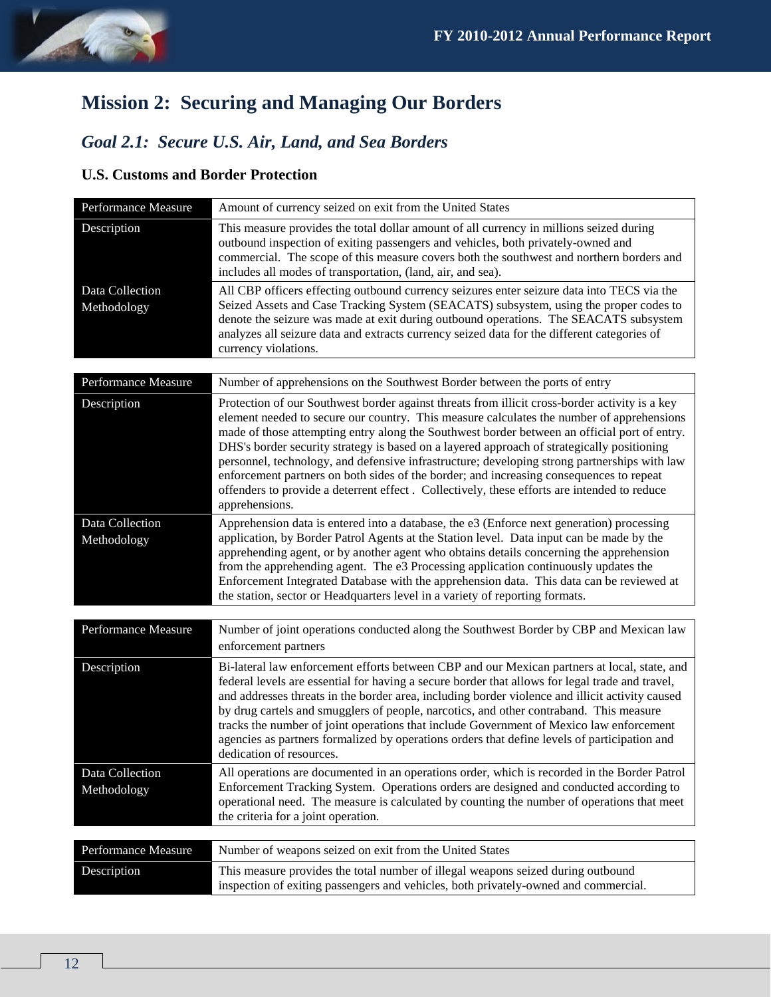

# **Mission 2: Securing and Managing Our Borders**

## *Goal 2.1: Secure U.S. Air, Land, and Sea Borders*

#### **U.S. Customs and Border Protection**

| Performance Measure            | Amount of currency seized on exit from the United States                                                                                                                                                                                                                                                                                                                                                                                                                                                                                                                                                                                                                                              |
|--------------------------------|-------------------------------------------------------------------------------------------------------------------------------------------------------------------------------------------------------------------------------------------------------------------------------------------------------------------------------------------------------------------------------------------------------------------------------------------------------------------------------------------------------------------------------------------------------------------------------------------------------------------------------------------------------------------------------------------------------|
| Description                    | This measure provides the total dollar amount of all currency in millions seized during<br>outbound inspection of exiting passengers and vehicles, both privately-owned and<br>commercial. The scope of this measure covers both the southwest and northern borders and<br>includes all modes of transportation, (land, air, and sea).                                                                                                                                                                                                                                                                                                                                                                |
| Data Collection<br>Methodology | All CBP officers effecting outbound currency seizures enter seizure data into TECS via the<br>Seized Assets and Case Tracking System (SEACATS) subsystem, using the proper codes to<br>denote the seizure was made at exit during outbound operations. The SEACATS subsystem<br>analyzes all seizure data and extracts currency seized data for the different categories of<br>currency violations.                                                                                                                                                                                                                                                                                                   |
| <b>Performance Measure</b>     | Number of apprehensions on the Southwest Border between the ports of entry                                                                                                                                                                                                                                                                                                                                                                                                                                                                                                                                                                                                                            |
| Description                    | Protection of our Southwest border against threats from illicit cross-border activity is a key<br>element needed to secure our country. This measure calculates the number of apprehensions<br>made of those attempting entry along the Southwest border between an official port of entry.<br>DHS's border security strategy is based on a layered approach of strategically positioning<br>personnel, technology, and defensive infrastructure; developing strong partnerships with law<br>enforcement partners on both sides of the border; and increasing consequences to repeat<br>offenders to provide a deterrent effect. Collectively, these efforts are intended to reduce<br>apprehensions. |
| Data Collection<br>Methodology | Apprehension data is entered into a database, the e3 (Enforce next generation) processing<br>application, by Border Patrol Agents at the Station level. Data input can be made by the<br>apprehending agent, or by another agent who obtains details concerning the apprehension<br>from the apprehending agent. The e3 Processing application continuously updates the<br>Enforcement Integrated Database with the apprehension data. This data can be reviewed at<br>the station, sector or Headquarters level in a variety of reporting formats.                                                                                                                                                   |
| Performance Measure            | Number of joint operations conducted along the Southwest Border by CBP and Mexican law                                                                                                                                                                                                                                                                                                                                                                                                                                                                                                                                                                                                                |
|                                | enforcement partners                                                                                                                                                                                                                                                                                                                                                                                                                                                                                                                                                                                                                                                                                  |
| Description                    | Bi-lateral law enforcement efforts between CBP and our Mexican partners at local, state, and<br>federal levels are essential for having a secure border that allows for legal trade and travel,<br>and addresses threats in the border area, including border violence and illicit activity caused<br>by drug cartels and smugglers of people, narcotics, and other contraband. This measure<br>tracks the number of joint operations that include Government of Mexico law enforcement<br>agencies as partners formalized by operations orders that define levels of participation and<br>dedication of resources.                                                                                   |
| Data Collection                | All operations are documented in an operations order, which is recorded in the Border Patrol                                                                                                                                                                                                                                                                                                                                                                                                                                                                                                                                                                                                          |
| Methodology                    | Enforcement Tracking System. Operations orders are designed and conducted according to<br>operational need. The measure is calculated by counting the number of operations that meet<br>the criteria for a joint operation.                                                                                                                                                                                                                                                                                                                                                                                                                                                                           |
|                                |                                                                                                                                                                                                                                                                                                                                                                                                                                                                                                                                                                                                                                                                                                       |
| Performance Measure            | Number of weapons seized on exit from the United States                                                                                                                                                                                                                                                                                                                                                                                                                                                                                                                                                                                                                                               |
| Description                    | This measure provides the total number of illegal weapons seized during outbound<br>inspection of exiting passengers and vehicles, both privately-owned and commercial.                                                                                                                                                                                                                                                                                                                                                                                                                                                                                                                               |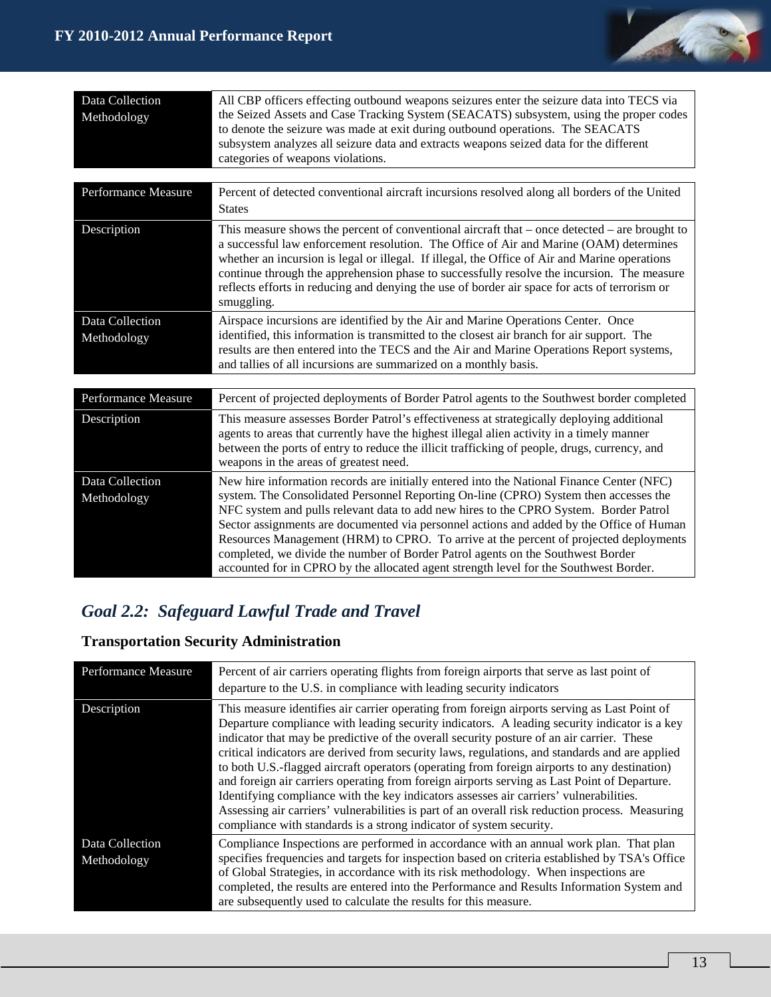

| Data Collection<br>Methodology | All CBP officers effecting outbound weapons seizures enter the seizure data into TECS via<br>the Seized Assets and Case Tracking System (SEACATS) subsystem, using the proper codes<br>to denote the seizure was made at exit during outbound operations. The SEACATS<br>subsystem analyzes all seizure data and extracts weapons seized data for the different<br>categories of weapons violations.                                                                                                                                                                                                                                        |
|--------------------------------|---------------------------------------------------------------------------------------------------------------------------------------------------------------------------------------------------------------------------------------------------------------------------------------------------------------------------------------------------------------------------------------------------------------------------------------------------------------------------------------------------------------------------------------------------------------------------------------------------------------------------------------------|
|                                |                                                                                                                                                                                                                                                                                                                                                                                                                                                                                                                                                                                                                                             |
| Performance Measure            | Percent of detected conventional aircraft incursions resolved along all borders of the United<br><b>States</b>                                                                                                                                                                                                                                                                                                                                                                                                                                                                                                                              |
| Description                    | This measure shows the percent of conventional aircraft that $-$ once detected $-$ are brought to<br>a successful law enforcement resolution. The Office of Air and Marine (OAM) determines<br>whether an incursion is legal or illegal. If illegal, the Office of Air and Marine operations<br>continue through the apprehension phase to successfully resolve the incursion. The measure<br>reflects efforts in reducing and denying the use of border air space for acts of terrorism or<br>smuggling.                                                                                                                                   |
| Data Collection<br>Methodology | Airspace incursions are identified by the Air and Marine Operations Center. Once<br>identified, this information is transmitted to the closest air branch for air support. The<br>results are then entered into the TECS and the Air and Marine Operations Report systems,<br>and tallies of all incursions are summarized on a monthly basis.                                                                                                                                                                                                                                                                                              |
|                                |                                                                                                                                                                                                                                                                                                                                                                                                                                                                                                                                                                                                                                             |
| <b>Performance Measure</b>     | Percent of projected deployments of Border Patrol agents to the Southwest border completed                                                                                                                                                                                                                                                                                                                                                                                                                                                                                                                                                  |
| Description                    | This measure assesses Border Patrol's effectiveness at strategically deploying additional<br>agents to areas that currently have the highest illegal alien activity in a timely manner<br>between the ports of entry to reduce the illicit trafficking of people, drugs, currency, and<br>weapons in the areas of greatest need.                                                                                                                                                                                                                                                                                                            |
| Data Collection<br>Methodology | New hire information records are initially entered into the National Finance Center (NFC)<br>system. The Consolidated Personnel Reporting On-line (CPRO) System then accesses the<br>NFC system and pulls relevant data to add new hires to the CPRO System. Border Patrol<br>Sector assignments are documented via personnel actions and added by the Office of Human<br>Resources Management (HRM) to CPRO. To arrive at the percent of projected deployments<br>completed, we divide the number of Border Patrol agents on the Southwest Border<br>accounted for in CPRO by the allocated agent strength level for the Southwest Border. |

## *Goal 2.2: Safeguard Lawful Trade and Travel*

### **Transportation Security Administration**

| Performance Measure            | Percent of air carriers operating flights from foreign airports that serve as last point of<br>departure to the U.S. in compliance with leading security indicators                                                                                                                                                                                                                                                                                                                                                                                                                                                                                                                                                                                                                                                                                             |
|--------------------------------|-----------------------------------------------------------------------------------------------------------------------------------------------------------------------------------------------------------------------------------------------------------------------------------------------------------------------------------------------------------------------------------------------------------------------------------------------------------------------------------------------------------------------------------------------------------------------------------------------------------------------------------------------------------------------------------------------------------------------------------------------------------------------------------------------------------------------------------------------------------------|
| Description                    | This measure identifies air carrier operating from foreign airports serving as Last Point of<br>Departure compliance with leading security indicators. A leading security indicator is a key<br>indicator that may be predictive of the overall security posture of an air carrier. These<br>critical indicators are derived from security laws, regulations, and standards and are applied<br>to both U.S.-flagged aircraft operators (operating from foreign airports to any destination)<br>and foreign air carriers operating from foreign airports serving as Last Point of Departure.<br>Identifying compliance with the key indicators assesses air carriers' vulnerabilities.<br>Assessing air carriers' vulnerabilities is part of an overall risk reduction process. Measuring<br>compliance with standards is a strong indicator of system security. |
| Data Collection<br>Methodology | Compliance Inspections are performed in accordance with an annual work plan. That plan<br>specifies frequencies and targets for inspection based on criteria established by TSA's Office<br>of Global Strategies, in accordance with its risk methodology. When inspections are<br>completed, the results are entered into the Performance and Results Information System and<br>are subsequently used to calculate the results for this measure.                                                                                                                                                                                                                                                                                                                                                                                                               |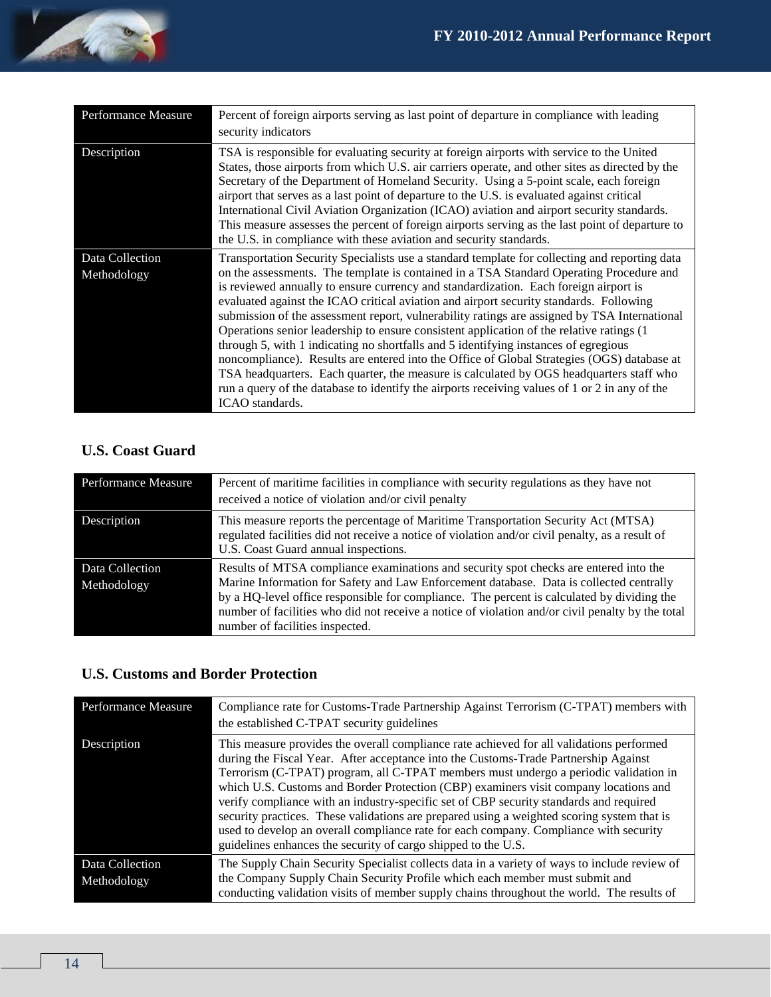

| Performance Measure            | Percent of foreign airports serving as last point of departure in compliance with leading<br>security indicators                                                                                                                                                                                                                                                                                                                                                                                                                                                                                                                                                                                                                                                                                                                                                                                                                                                           |
|--------------------------------|----------------------------------------------------------------------------------------------------------------------------------------------------------------------------------------------------------------------------------------------------------------------------------------------------------------------------------------------------------------------------------------------------------------------------------------------------------------------------------------------------------------------------------------------------------------------------------------------------------------------------------------------------------------------------------------------------------------------------------------------------------------------------------------------------------------------------------------------------------------------------------------------------------------------------------------------------------------------------|
| Description                    | TSA is responsible for evaluating security at foreign airports with service to the United<br>States, those airports from which U.S. air carriers operate, and other sites as directed by the<br>Secretary of the Department of Homeland Security. Using a 5-point scale, each foreign<br>airport that serves as a last point of departure to the U.S. is evaluated against critical<br>International Civil Aviation Organization (ICAO) aviation and airport security standards.<br>This measure assesses the percent of foreign airports serving as the last point of departure to<br>the U.S. in compliance with these aviation and security standards.                                                                                                                                                                                                                                                                                                                  |
| Data Collection<br>Methodology | Transportation Security Specialists use a standard template for collecting and reporting data<br>on the assessments. The template is contained in a TSA Standard Operating Procedure and<br>is reviewed annually to ensure currency and standardization. Each foreign airport is<br>evaluated against the ICAO critical aviation and airport security standards. Following<br>submission of the assessment report, vulnerability ratings are assigned by TSA International<br>Operations senior leadership to ensure consistent application of the relative ratings (1<br>through 5, with 1 indicating no shortfalls and 5 identifying instances of egregious<br>noncompliance). Results are entered into the Office of Global Strategies (OGS) database at<br>TSA headquarters. Each quarter, the measure is calculated by OGS headquarters staff who<br>run a query of the database to identify the airports receiving values of 1 or 2 in any of the<br>ICAO standards. |

#### **U.S. Coast Guard**

| <b>Performance Measure</b>     | Percent of maritime facilities in compliance with security regulations as they have not<br>received a notice of violation and/or civil penalty                                                                                                                                                                                                                                                                        |
|--------------------------------|-----------------------------------------------------------------------------------------------------------------------------------------------------------------------------------------------------------------------------------------------------------------------------------------------------------------------------------------------------------------------------------------------------------------------|
| Description                    | This measure reports the percentage of Maritime Transportation Security Act (MTSA)<br>regulated facilities did not receive a notice of violation and/or civil penalty, as a result of<br>U.S. Coast Guard annual inspections.                                                                                                                                                                                         |
| Data Collection<br>Methodology | Results of MTSA compliance examinations and security spot checks are entered into the<br>Marine Information for Safety and Law Enforcement database. Data is collected centrally<br>by a HQ-level office responsible for compliance. The percent is calculated by dividing the<br>number of facilities who did not receive a notice of violation and/or civil penalty by the total<br>number of facilities inspected. |

#### **U.S. Customs and Border Protection**

| Performance Measure            | Compliance rate for Customs-Trade Partnership Against Terrorism (C-TPAT) members with<br>the established C-TPAT security guidelines                                                                                                                                                                                                                                                                                                                                                                                                                                                                                                                                                                               |
|--------------------------------|-------------------------------------------------------------------------------------------------------------------------------------------------------------------------------------------------------------------------------------------------------------------------------------------------------------------------------------------------------------------------------------------------------------------------------------------------------------------------------------------------------------------------------------------------------------------------------------------------------------------------------------------------------------------------------------------------------------------|
| Description                    | This measure provides the overall compliance rate achieved for all validations performed<br>during the Fiscal Year. After acceptance into the Customs-Trade Partnership Against<br>Terrorism (C-TPAT) program, all C-TPAT members must undergo a periodic validation in<br>which U.S. Customs and Border Protection (CBP) examiners visit company locations and<br>verify compliance with an industry-specific set of CBP security standards and required<br>security practices. These validations are prepared using a weighted scoring system that is<br>used to develop an overall compliance rate for each company. Compliance with security<br>guidelines enhances the security of cargo shipped to the U.S. |
| Data Collection<br>Methodology | The Supply Chain Security Specialist collects data in a variety of ways to include review of<br>the Company Supply Chain Security Profile which each member must submit and<br>conducting validation visits of member supply chains throughout the world. The results of                                                                                                                                                                                                                                                                                                                                                                                                                                          |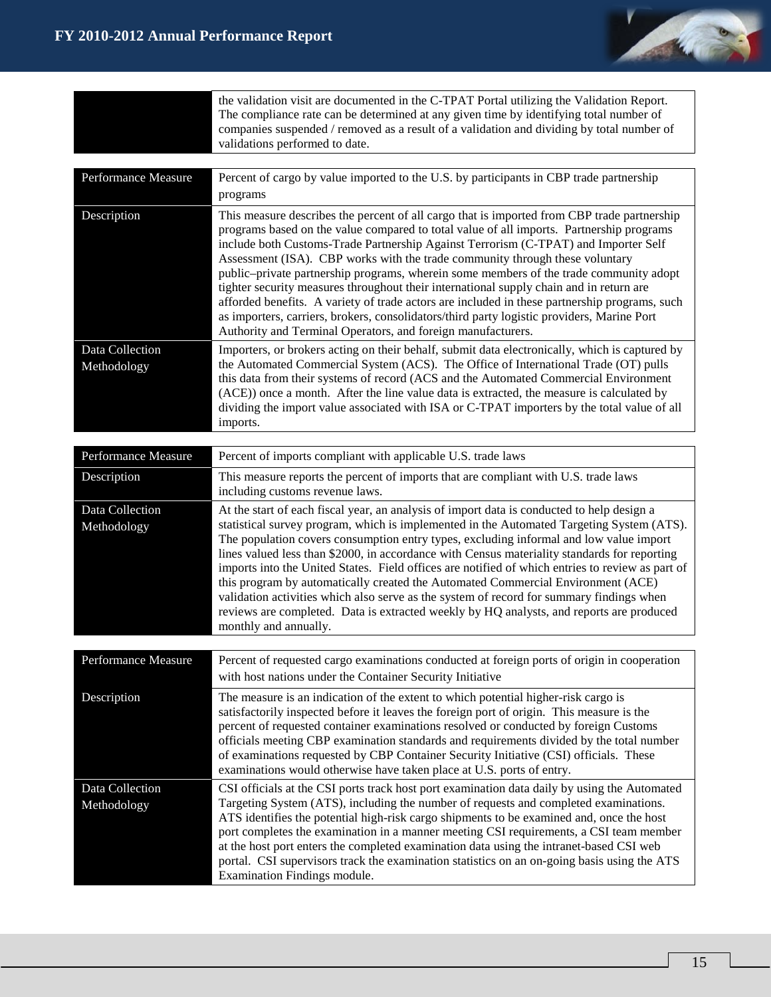

|                                | the validation visit are documented in the C-TPAT Portal utilizing the Validation Report.<br>The compliance rate can be determined at any given time by identifying total number of<br>companies suspended / removed as a result of a validation and dividing by total number of<br>validations performed to date.                                                                                                                                                                                                                                                                                                                                                                                                                                                                                                 |
|--------------------------------|--------------------------------------------------------------------------------------------------------------------------------------------------------------------------------------------------------------------------------------------------------------------------------------------------------------------------------------------------------------------------------------------------------------------------------------------------------------------------------------------------------------------------------------------------------------------------------------------------------------------------------------------------------------------------------------------------------------------------------------------------------------------------------------------------------------------|
| Performance Measure            | Percent of cargo by value imported to the U.S. by participants in CBP trade partnership<br>programs                                                                                                                                                                                                                                                                                                                                                                                                                                                                                                                                                                                                                                                                                                                |
| Description                    | This measure describes the percent of all cargo that is imported from CBP trade partnership<br>programs based on the value compared to total value of all imports. Partnership programs<br>include both Customs-Trade Partnership Against Terrorism (C-TPAT) and Importer Self<br>Assessment (ISA). CBP works with the trade community through these voluntary<br>public-private partnership programs, wherein some members of the trade community adopt<br>tighter security measures throughout their international supply chain and in return are<br>afforded benefits. A variety of trade actors are included in these partnership programs, such<br>as importers, carriers, brokers, consolidators/third party logistic providers, Marine Port<br>Authority and Terminal Operators, and foreign manufacturers. |
| Data Collection<br>Methodology | Importers, or brokers acting on their behalf, submit data electronically, which is captured by<br>the Automated Commercial System (ACS). The Office of International Trade (OT) pulls<br>this data from their systems of record (ACS and the Automated Commercial Environment<br>(ACE)) once a month. After the line value data is extracted, the measure is calculated by<br>dividing the import value associated with ISA or C-TPAT importers by the total value of all<br>imports.                                                                                                                                                                                                                                                                                                                              |
| <b>Performance Measure</b>     | Percent of imports compliant with applicable U.S. trade laws                                                                                                                                                                                                                                                                                                                                                                                                                                                                                                                                                                                                                                                                                                                                                       |
| Description                    | This measure reports the percent of imports that are compliant with U.S. trade laws<br>including customs revenue laws.                                                                                                                                                                                                                                                                                                                                                                                                                                                                                                                                                                                                                                                                                             |
| Data Collection<br>Methodology | At the start of each fiscal year, an analysis of import data is conducted to help design a<br>statistical survey program, which is implemented in the Automated Targeting System (ATS).<br>The population covers consumption entry types, excluding informal and low value import<br>lines valued less than \$2000, in accordance with Census materiality standards for reporting<br>imports into the United States. Field offices are notified of which entries to review as part of<br>this program by automatically created the Automated Commercial Environment (ACE)<br>validation activities which also serve as the system of record for summary findings when<br>reviews are completed. Data is extracted weekly by HQ analysts, and reports are produced<br>monthly and annually.                         |
| Performance Measure            | Percent of requested cargo examinations conducted at foreign ports of origin in cooperation<br>with host nations under the Container Security Initiative                                                                                                                                                                                                                                                                                                                                                                                                                                                                                                                                                                                                                                                           |
| Description                    | The measure is an indication of the extent to which potential higher-risk cargo is<br>satisfactorily inspected before it leaves the foreign port of origin. This measure is the<br>percent of requested container examinations resolved or conducted by foreign Customs<br>officials meeting CBP examination standards and requirements divided by the total number<br>of examinations requested by CBP Container Security Initiative (CSI) officials. These<br>examinations would otherwise have taken place at U.S. ports of entry.                                                                                                                                                                                                                                                                              |
| Data Collection<br>Methodology | CSI officials at the CSI ports track host port examination data daily by using the Automated<br>Targeting System (ATS), including the number of requests and completed examinations.<br>ATS identifies the potential high-risk cargo shipments to be examined and, once the host<br>port completes the examination in a manner meeting CSI requirements, a CSI team member<br>at the host port enters the completed examination data using the intranet-based CSI web<br>portal. CSI supervisors track the examination statistics on an on-going basis using the ATS<br>Examination Findings module.                                                                                                                                                                                                               |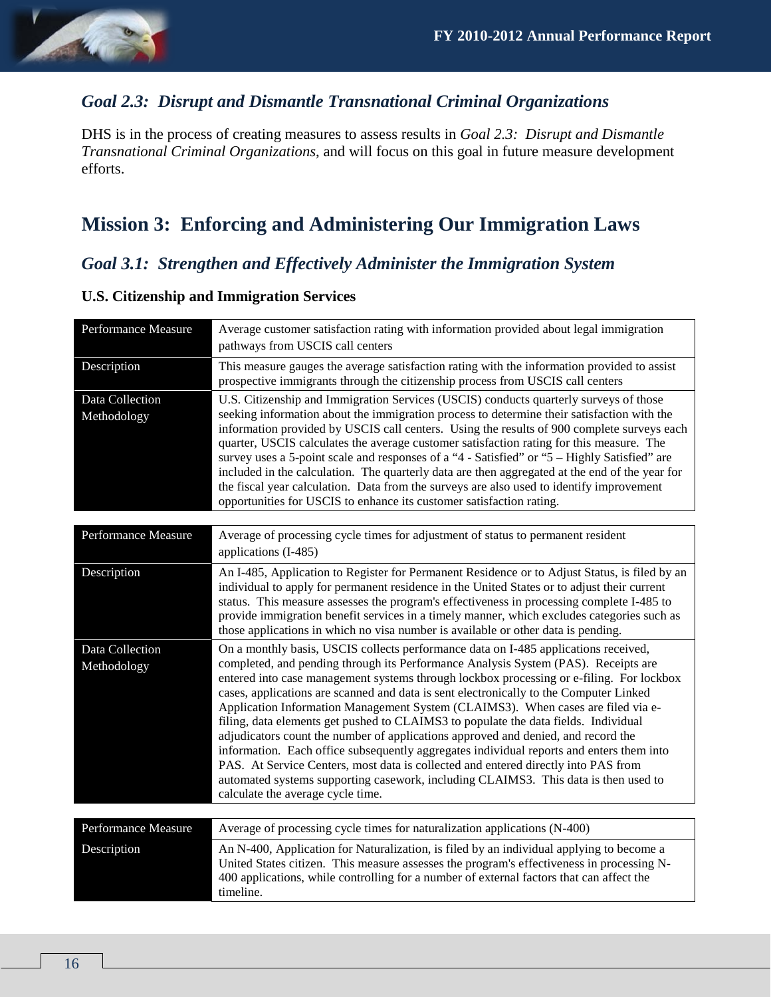

#### *Goal 2.3: Disrupt and Dismantle Transnational Criminal Organizations*

 DHS is in the process of creating measures to assess results in *Goal 2.3: Disrupt and Dismantle Transnational Criminal Organizations*, and will focus on this goal in future measure development efforts.

## **Mission 3: Enforcing and Administering Our Immigration Laws**

#### *Goal 3.1: Strengthen and Effectively Administer the Immigration System*

| Performance Measure            | Average customer satisfaction rating with information provided about legal immigration<br>pathways from USCIS call centers                                                                                                                                                                                                                                                                                                                                                                                                                                                                                                                                                                                                                                                                                                                                                                                                                    |
|--------------------------------|-----------------------------------------------------------------------------------------------------------------------------------------------------------------------------------------------------------------------------------------------------------------------------------------------------------------------------------------------------------------------------------------------------------------------------------------------------------------------------------------------------------------------------------------------------------------------------------------------------------------------------------------------------------------------------------------------------------------------------------------------------------------------------------------------------------------------------------------------------------------------------------------------------------------------------------------------|
| Description                    | This measure gauges the average satisfaction rating with the information provided to assist<br>prospective immigrants through the citizenship process from USCIS call centers                                                                                                                                                                                                                                                                                                                                                                                                                                                                                                                                                                                                                                                                                                                                                                 |
| Data Collection<br>Methodology | U.S. Citizenship and Immigration Services (USCIS) conducts quarterly surveys of those<br>seeking information about the immigration process to determine their satisfaction with the<br>information provided by USCIS call centers. Using the results of 900 complete surveys each<br>quarter, USCIS calculates the average customer satisfaction rating for this measure. The<br>survey uses a 5-point scale and responses of a "4 - Satisfied" or "5 - Highly Satisfied" are<br>included in the calculation. The quarterly data are then aggregated at the end of the year for<br>the fiscal year calculation. Data from the surveys are also used to identify improvement<br>opportunities for USCIS to enhance its customer satisfaction rating.                                                                                                                                                                                           |
| Performance Measure            | Average of processing cycle times for adjustment of status to permanent resident<br>applications (I-485)                                                                                                                                                                                                                                                                                                                                                                                                                                                                                                                                                                                                                                                                                                                                                                                                                                      |
| Description                    | An I-485, Application to Register for Permanent Residence or to Adjust Status, is filed by an<br>individual to apply for permanent residence in the United States or to adjust their current<br>status. This measure assesses the program's effectiveness in processing complete I-485 to<br>provide immigration benefit services in a timely manner, which excludes categories such as<br>those applications in which no visa number is available or other data is pending.                                                                                                                                                                                                                                                                                                                                                                                                                                                                  |
| Data Collection<br>Methodology | On a monthly basis, USCIS collects performance data on I-485 applications received,<br>completed, and pending through its Performance Analysis System (PAS). Receipts are<br>entered into case management systems through lockbox processing or e-filing. For lockbox<br>cases, applications are scanned and data is sent electronically to the Computer Linked<br>Application Information Management System (CLAIMS3). When cases are filed via e-<br>filing, data elements get pushed to CLAIMS3 to populate the data fields. Individual<br>adjudicators count the number of applications approved and denied, and record the<br>information. Each office subsequently aggregates individual reports and enters them into<br>PAS. At Service Centers, most data is collected and entered directly into PAS from<br>automated systems supporting casework, including CLAIMS3. This data is then used to<br>calculate the average cycle time. |
| Performance Measure            | Average of processing cycle times for naturalization applications (N-400)                                                                                                                                                                                                                                                                                                                                                                                                                                                                                                                                                                                                                                                                                                                                                                                                                                                                     |
| Description                    | An N-400, Application for Naturalization, is filed by an individual applying to become a<br>United States citizen. This measure assesses the program's effectiveness in processing N-<br>400 applications, while controlling for a number of external factors that can affect the<br>timeline.                                                                                                                                                                                                                                                                                                                                                                                                                                                                                                                                                                                                                                                |

#### **U.S. Citizenship and Immigration Services**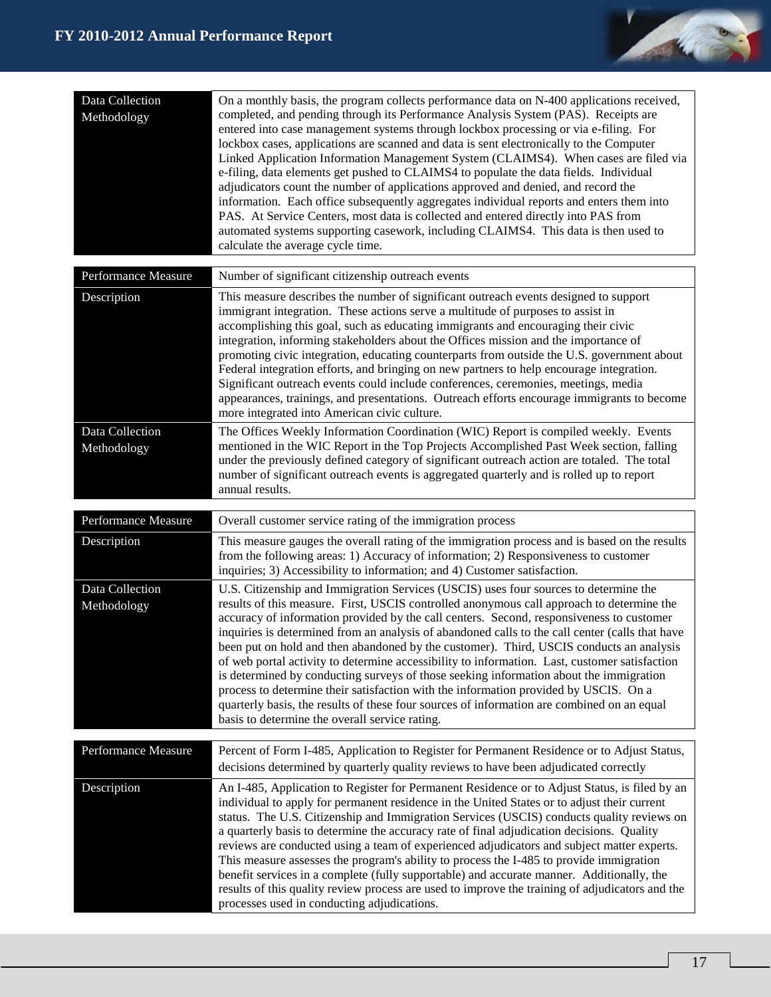

| Data Collection<br>Methodology | On a monthly basis, the program collects performance data on N-400 applications received,<br>completed, and pending through its Performance Analysis System (PAS). Receipts are<br>entered into case management systems through lockbox processing or via e-filing. For<br>lockbox cases, applications are scanned and data is sent electronically to the Computer<br>Linked Application Information Management System (CLAIMS4). When cases are filed via<br>e-filing, data elements get pushed to CLAIMS4 to populate the data fields. Individual<br>adjudicators count the number of applications approved and denied, and record the<br>information. Each office subsequently aggregates individual reports and enters them into<br>PAS. At Service Centers, most data is collected and entered directly into PAS from<br>automated systems supporting casework, including CLAIMS4. This data is then used to<br>calculate the average cycle time. |
|--------------------------------|--------------------------------------------------------------------------------------------------------------------------------------------------------------------------------------------------------------------------------------------------------------------------------------------------------------------------------------------------------------------------------------------------------------------------------------------------------------------------------------------------------------------------------------------------------------------------------------------------------------------------------------------------------------------------------------------------------------------------------------------------------------------------------------------------------------------------------------------------------------------------------------------------------------------------------------------------------|
| Performance Measure            | Number of significant citizenship outreach events                                                                                                                                                                                                                                                                                                                                                                                                                                                                                                                                                                                                                                                                                                                                                                                                                                                                                                      |
| Description                    | This measure describes the number of significant outreach events designed to support<br>immigrant integration. These actions serve a multitude of purposes to assist in<br>accomplishing this goal, such as educating immigrants and encouraging their civic<br>integration, informing stakeholders about the Offices mission and the importance of<br>promoting civic integration, educating counterparts from outside the U.S. government about<br>Federal integration efforts, and bringing on new partners to help encourage integration.<br>Significant outreach events could include conferences, ceremonies, meetings, media<br>appearances, trainings, and presentations. Outreach efforts encourage immigrants to become<br>more integrated into American civic culture.                                                                                                                                                                      |
| Data Collection<br>Methodology | The Offices Weekly Information Coordination (WIC) Report is compiled weekly. Events<br>mentioned in the WIC Report in the Top Projects Accomplished Past Week section, falling<br>under the previously defined category of significant outreach action are totaled. The total<br>number of significant outreach events is aggregated quarterly and is rolled up to report<br>annual results.                                                                                                                                                                                                                                                                                                                                                                                                                                                                                                                                                           |
| Performance Measure            | Overall customer service rating of the immigration process                                                                                                                                                                                                                                                                                                                                                                                                                                                                                                                                                                                                                                                                                                                                                                                                                                                                                             |
| Description                    | This measure gauges the overall rating of the immigration process and is based on the results<br>from the following areas: 1) Accuracy of information; 2) Responsiveness to customer<br>inquiries; 3) Accessibility to information; and 4) Customer satisfaction.                                                                                                                                                                                                                                                                                                                                                                                                                                                                                                                                                                                                                                                                                      |
| Data Collection<br>Methodology | U.S. Citizenship and Immigration Services (USCIS) uses four sources to determine the<br>results of this measure. First, USCIS controlled anonymous call approach to determine the<br>accuracy of information provided by the call centers. Second, responsiveness to customer<br>inquiries is determined from an analysis of abandoned calls to the call center (calls that have<br>been put on hold and then abandoned by the customer). Third, USCIS conducts an analysis<br>of web portal activity to determine accessibility to information. Last, customer satisfaction<br>is determined by conducting surveys of those seeking information about the immigration<br>process to determine their satisfaction with the information provided by USCIS. On a<br>quarterly basis, the results of these four sources of information are combined on an equal<br>basis to determine the overall service rating.                                         |
| Performance Measure            | Percent of Form I-485, Application to Register for Permanent Residence or to Adjust Status,<br>decisions determined by quarterly quality reviews to have been adjudicated correctly                                                                                                                                                                                                                                                                                                                                                                                                                                                                                                                                                                                                                                                                                                                                                                    |
| Description                    | An I-485, Application to Register for Permanent Residence or to Adjust Status, is filed by an<br>individual to apply for permanent residence in the United States or to adjust their current<br>status. The U.S. Citizenship and Immigration Services (USCIS) conducts quality reviews on<br>a quarterly basis to determine the accuracy rate of final adjudication decisions. Quality<br>reviews are conducted using a team of experienced adjudicators and subject matter experts.<br>This measure assesses the program's ability to process the I-485 to provide immigration<br>benefit services in a complete (fully supportable) and accurate manner. Additionally, the<br>results of this quality review process are used to improve the training of adjudicators and the<br>processes used in conducting adjudications.                                                                                                                         |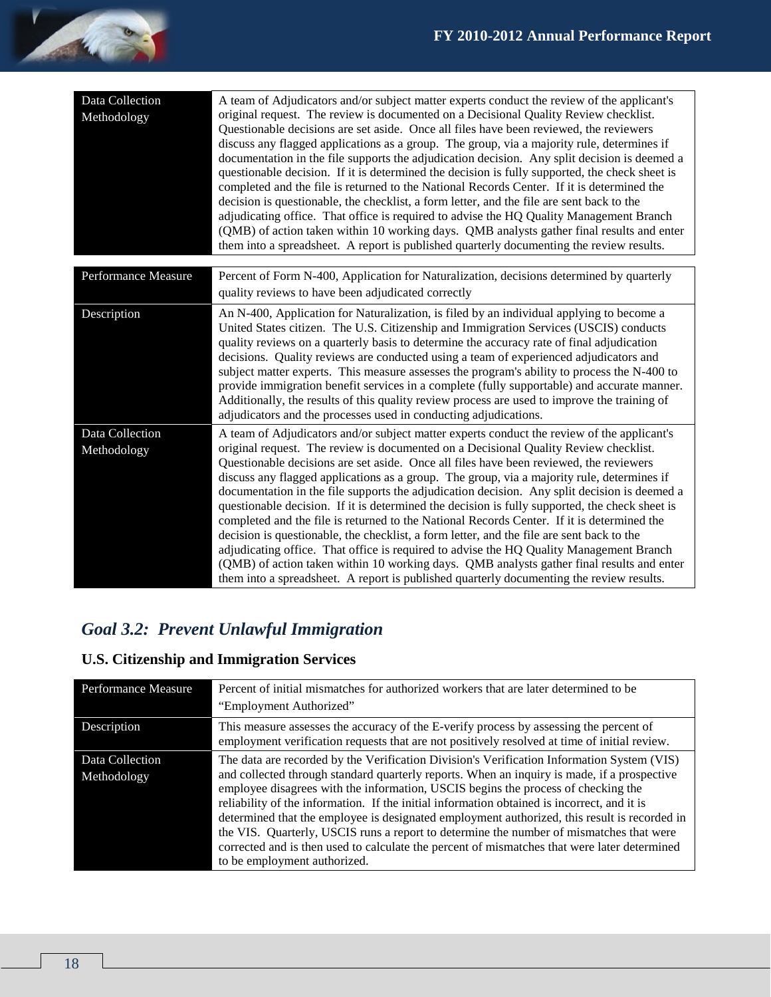

| Data Collection<br>Methodology | A team of Adjudicators and/or subject matter experts conduct the review of the applicant's<br>original request. The review is documented on a Decisional Quality Review checklist.<br>Questionable decisions are set aside. Once all files have been reviewed, the reviewers<br>discuss any flagged applications as a group. The group, via a majority rule, determines if<br>documentation in the file supports the adjudication decision. Any split decision is deemed a<br>questionable decision. If it is determined the decision is fully supported, the check sheet is<br>completed and the file is returned to the National Records Center. If it is determined the<br>decision is questionable, the checklist, a form letter, and the file are sent back to the<br>adjudicating office. That office is required to advise the HQ Quality Management Branch<br>(QMB) of action taken within 10 working days. QMB analysts gather final results and enter<br>them into a spreadsheet. A report is published quarterly documenting the review results. |
|--------------------------------|-------------------------------------------------------------------------------------------------------------------------------------------------------------------------------------------------------------------------------------------------------------------------------------------------------------------------------------------------------------------------------------------------------------------------------------------------------------------------------------------------------------------------------------------------------------------------------------------------------------------------------------------------------------------------------------------------------------------------------------------------------------------------------------------------------------------------------------------------------------------------------------------------------------------------------------------------------------------------------------------------------------------------------------------------------------|
| Performance Measure            | Percent of Form N-400, Application for Naturalization, decisions determined by quarterly<br>quality reviews to have been adjudicated correctly                                                                                                                                                                                                                                                                                                                                                                                                                                                                                                                                                                                                                                                                                                                                                                                                                                                                                                              |
| Description                    | An N-400, Application for Naturalization, is filed by an individual applying to become a<br>United States citizen. The U.S. Citizenship and Immigration Services (USCIS) conducts<br>quality reviews on a quarterly basis to determine the accuracy rate of final adjudication<br>decisions. Quality reviews are conducted using a team of experienced adjudicators and<br>subject matter experts. This measure assesses the program's ability to process the N-400 to<br>provide immigration benefit services in a complete (fully supportable) and accurate manner.<br>Additionally, the results of this quality review process are used to improve the training of<br>adjudicators and the processes used in conducting adjudications.                                                                                                                                                                                                                                                                                                                   |
| Data Collection<br>Methodology | A team of Adjudicators and/or subject matter experts conduct the review of the applicant's<br>original request. The review is documented on a Decisional Quality Review checklist.<br>Questionable decisions are set aside. Once all files have been reviewed, the reviewers<br>discuss any flagged applications as a group. The group, via a majority rule, determines if<br>documentation in the file supports the adjudication decision. Any split decision is deemed a<br>questionable decision. If it is determined the decision is fully supported, the check sheet is<br>completed and the file is returned to the National Records Center. If it is determined the<br>decision is questionable, the checklist, a form letter, and the file are sent back to the<br>adjudicating office. That office is required to advise the HQ Quality Management Branch<br>(QMB) of action taken within 10 working days. QMB analysts gather final results and enter<br>them into a spreadsheet. A report is published quarterly documenting the review results. |

## *Goal 3.2: Prevent Unlawful Immigration*

#### **U.S. Citizenship and Immigration Services**

| <b>Performance Measure</b>     | Percent of initial mismatches for authorized workers that are later determined to be<br>"Employment Authorized"                                                                                                                                                                                                                                                                                                                                                                                                                                                                                                                                                                                          |
|--------------------------------|----------------------------------------------------------------------------------------------------------------------------------------------------------------------------------------------------------------------------------------------------------------------------------------------------------------------------------------------------------------------------------------------------------------------------------------------------------------------------------------------------------------------------------------------------------------------------------------------------------------------------------------------------------------------------------------------------------|
| Description                    | This measure assesses the accuracy of the E-verify process by assessing the percent of<br>employment verification requests that are not positively resolved at time of initial review.                                                                                                                                                                                                                                                                                                                                                                                                                                                                                                                   |
| Data Collection<br>Methodology | The data are recorded by the Verification Division's Verification Information System (VIS)<br>and collected through standard quarterly reports. When an inquiry is made, if a prospective<br>employee disagrees with the information, USCIS begins the process of checking the<br>reliability of the information. If the initial information obtained is incorrect, and it is<br>determined that the employee is designated employment authorized, this result is recorded in<br>the VIS. Quarterly, USCIS runs a report to determine the number of mismatches that were<br>corrected and is then used to calculate the percent of mismatches that were later determined<br>to be employment authorized. |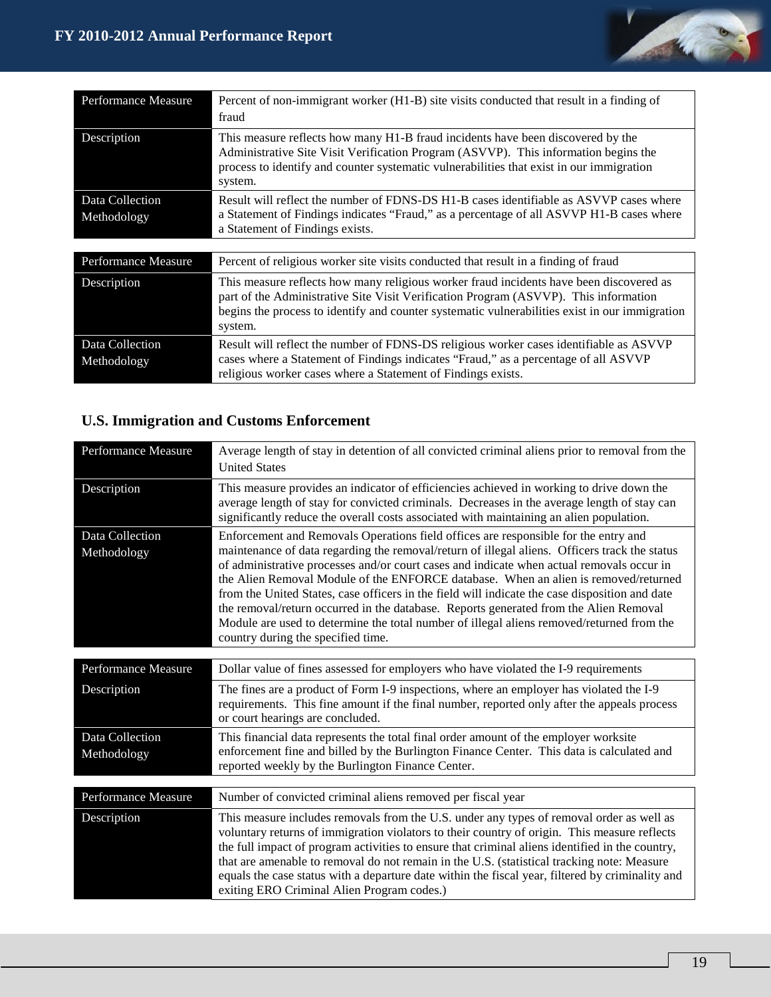

| Performance Measure            | Percent of non-immigrant worker (H1-B) site visits conducted that result in a finding of<br>fraud                                                                                                                                                                                            |
|--------------------------------|----------------------------------------------------------------------------------------------------------------------------------------------------------------------------------------------------------------------------------------------------------------------------------------------|
| Description                    | This measure reflects how many H <sub>1</sub> -B fraud incidents have been discovered by the<br>Administrative Site Visit Verification Program (ASVVP). This information begins the<br>process to identify and counter systematic vulnerabilities that exist in our immigration<br>system.   |
| Data Collection<br>Methodology | Result will reflect the number of FDNS-DS H <sub>1</sub> -B cases identifiable as ASVVP cases where<br>a Statement of Findings indicates "Fraud," as a percentage of all ASVVP H <sub>1</sub> -B cases where<br>a Statement of Findings exists.                                              |
|                                |                                                                                                                                                                                                                                                                                              |
| Performance Measure            | Percent of religious worker site visits conducted that result in a finding of fraud                                                                                                                                                                                                          |
| Description                    | This measure reflects how many religious worker fraud incidents have been discovered as<br>part of the Administrative Site Visit Verification Program (ASVVP). This information<br>begins the process to identify and counter systematic vulnerabilities exist in our immigration<br>system. |
| Data Collection<br>Methodology | Result will reflect the number of FDNS-DS religious worker cases identifiable as ASVVP<br>cases where a Statement of Findings indicates "Fraud," as a percentage of all ASVVP<br>religious worker cases where a Statement of Findings exists.                                                |

### **U.S. Immigration and Customs Enforcement**

| Performance Measure            | Average length of stay in detention of all convicted criminal aliens prior to removal from the<br><b>United States</b>                                                                                                                                                                                                                                                                                                                                                                                                                                                                                                                                                                                 |
|--------------------------------|--------------------------------------------------------------------------------------------------------------------------------------------------------------------------------------------------------------------------------------------------------------------------------------------------------------------------------------------------------------------------------------------------------------------------------------------------------------------------------------------------------------------------------------------------------------------------------------------------------------------------------------------------------------------------------------------------------|
| Description                    | This measure provides an indicator of efficiencies achieved in working to drive down the<br>average length of stay for convicted criminals. Decreases in the average length of stay can<br>significantly reduce the overall costs associated with maintaining an alien population.                                                                                                                                                                                                                                                                                                                                                                                                                     |
| Data Collection<br>Methodology | Enforcement and Removals Operations field offices are responsible for the entry and<br>maintenance of data regarding the removal/return of illegal aliens. Officers track the status<br>of administrative processes and/or court cases and indicate when actual removals occur in<br>the Alien Removal Module of the ENFORCE database. When an alien is removed/returned<br>from the United States, case officers in the field will indicate the case disposition and date<br>the removal/return occurred in the database. Reports generated from the Alien Removal<br>Module are used to determine the total number of illegal aliens removed/returned from the<br>country during the specified time. |
| Performance Measure            | Dollar value of fines assessed for employers who have violated the I-9 requirements                                                                                                                                                                                                                                                                                                                                                                                                                                                                                                                                                                                                                    |
|                                |                                                                                                                                                                                                                                                                                                                                                                                                                                                                                                                                                                                                                                                                                                        |
| Description                    | The fines are a product of Form I-9 inspections, where an employer has violated the I-9<br>requirements. This fine amount if the final number, reported only after the appeals process<br>or court hearings are concluded.                                                                                                                                                                                                                                                                                                                                                                                                                                                                             |
| Data Collection<br>Methodology | This financial data represents the total final order amount of the employer worksite<br>enforcement fine and billed by the Burlington Finance Center. This data is calculated and<br>reported weekly by the Burlington Finance Center.                                                                                                                                                                                                                                                                                                                                                                                                                                                                 |
|                                |                                                                                                                                                                                                                                                                                                                                                                                                                                                                                                                                                                                                                                                                                                        |
| <b>Performance Measure</b>     | Number of convicted criminal aliens removed per fiscal year                                                                                                                                                                                                                                                                                                                                                                                                                                                                                                                                                                                                                                            |
| Description                    | This measure includes removals from the U.S. under any types of removal order as well as<br>voluntary returns of immigration violators to their country of origin. This measure reflects<br>the full impact of program activities to ensure that criminal aliens identified in the country,<br>that are amenable to removal do not remain in the U.S. (statistical tracking note: Measure<br>equals the case status with a departure date within the fiscal year, filtered by criminality and<br>exiting ERO Criminal Alien Program codes.)                                                                                                                                                            |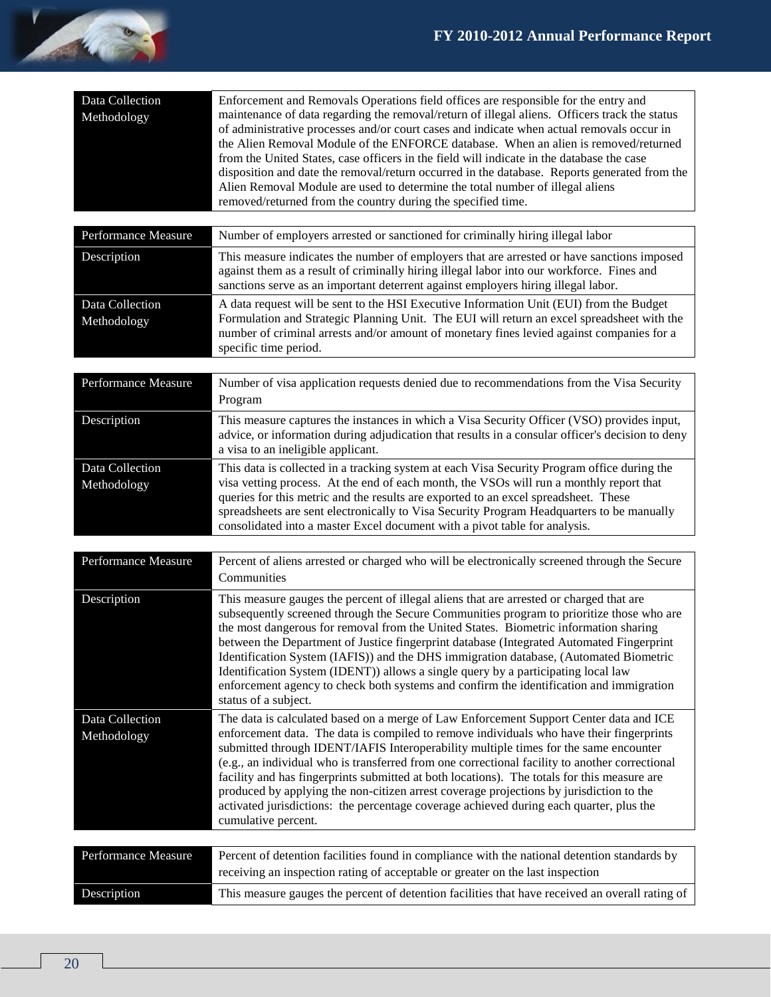

| Data Collection<br>Methodology | Enforcement and Removals Operations field offices are responsible for the entry and<br>maintenance of data regarding the removal/return of illegal aliens. Officers track the status<br>of administrative processes and/or court cases and indicate when actual removals occur in<br>the Alien Removal Module of the ENFORCE database. When an alien is removed/returned<br>from the United States, case officers in the field will indicate in the database the case<br>disposition and date the removal/return occurred in the database. Reports generated from the<br>Alien Removal Module are used to determine the total number of illegal aliens<br>removed/returned from the country during the specified time. |
|--------------------------------|------------------------------------------------------------------------------------------------------------------------------------------------------------------------------------------------------------------------------------------------------------------------------------------------------------------------------------------------------------------------------------------------------------------------------------------------------------------------------------------------------------------------------------------------------------------------------------------------------------------------------------------------------------------------------------------------------------------------|
| Performance Measure            | Number of employers arrested or sanctioned for criminally hiring illegal labor                                                                                                                                                                                                                                                                                                                                                                                                                                                                                                                                                                                                                                         |
| Description                    | This measure indicates the number of employers that are arrested or have sanctions imposed<br>against them as a result of criminally hiring illegal labor into our workforce. Fines and<br>sanctions serve as an important deterrent against employers hiring illegal labor.                                                                                                                                                                                                                                                                                                                                                                                                                                           |
| Data Collection<br>Methodology | A data request will be sent to the HSI Executive Information Unit (EUI) from the Budget<br>Formulation and Strategic Planning Unit. The EUI will return an excel spreadsheet with the<br>number of criminal arrests and/or amount of monetary fines levied against companies for a<br>specific time period.                                                                                                                                                                                                                                                                                                                                                                                                            |
|                                |                                                                                                                                                                                                                                                                                                                                                                                                                                                                                                                                                                                                                                                                                                                        |
| Performance Measure            | Number of visa application requests denied due to recommendations from the Visa Security<br>Program                                                                                                                                                                                                                                                                                                                                                                                                                                                                                                                                                                                                                    |
| Description                    | This measure captures the instances in which a Visa Security Officer (VSO) provides input,<br>advice, or information during adjudication that results in a consular officer's decision to deny<br>a visa to an ineligible applicant.                                                                                                                                                                                                                                                                                                                                                                                                                                                                                   |
| Data Collection<br>Methodology | This data is collected in a tracking system at each Visa Security Program office during the<br>visa vetting process. At the end of each month, the VSOs will run a monthly report that<br>queries for this metric and the results are exported to an excel spreadsheet. These<br>spreadsheets are sent electronically to Visa Security Program Headquarters to be manually<br>consolidated into a master Excel document with a pivot table for analysis.                                                                                                                                                                                                                                                               |
|                                |                                                                                                                                                                                                                                                                                                                                                                                                                                                                                                                                                                                                                                                                                                                        |
| Performance Measure            | Percent of aliens arrested or charged who will be electronically screened through the Secure<br>Communities                                                                                                                                                                                                                                                                                                                                                                                                                                                                                                                                                                                                            |
| Description                    | This measure gauges the percent of illegal aliens that are arrested or charged that are<br>subsequently screened through the Secure Communities program to prioritize those who are<br>the most dangerous for removal from the United States. Biometric information sharing<br>between the Department of Justice fingerprint database (Integrated Automated Fingerprint<br>Identification System (IAFIS)) and the DHS immigration database, (Automated Biometric<br>Identification System (IDENT)) allows a single query by a participating local law<br>enforcement agency to check both systems and confirm the identification and immigration<br>status of a subject.                                               |
| Data Collection<br>Methodology | The data is calculated based on a merge of Law Enforcement Support Center data and ICE<br>enforcement data. The data is compiled to remove individuals who have their fingerprints<br>submitted through IDENT/IAFIS Interoperability multiple times for the same encounter<br>(e.g., an individual who is transferred from one correctional facility to another correctional<br>facility and has fingerprints submitted at both locations). The totals for this measure are<br>produced by applying the non-citizen arrest coverage projections by jurisdiction to the<br>activated jurisdictions: the percentage coverage achieved during each quarter, plus the<br>cumulative percent.                               |

| Performance Measure | Percent of detention facilities found in compliance with the national detention standards by    |
|---------------------|-------------------------------------------------------------------------------------------------|
|                     | receiving an inspection rating of acceptable or greater on the last inspection                  |
| Description         | This measure gauges the percent of detention facilities that have received an overall rating of |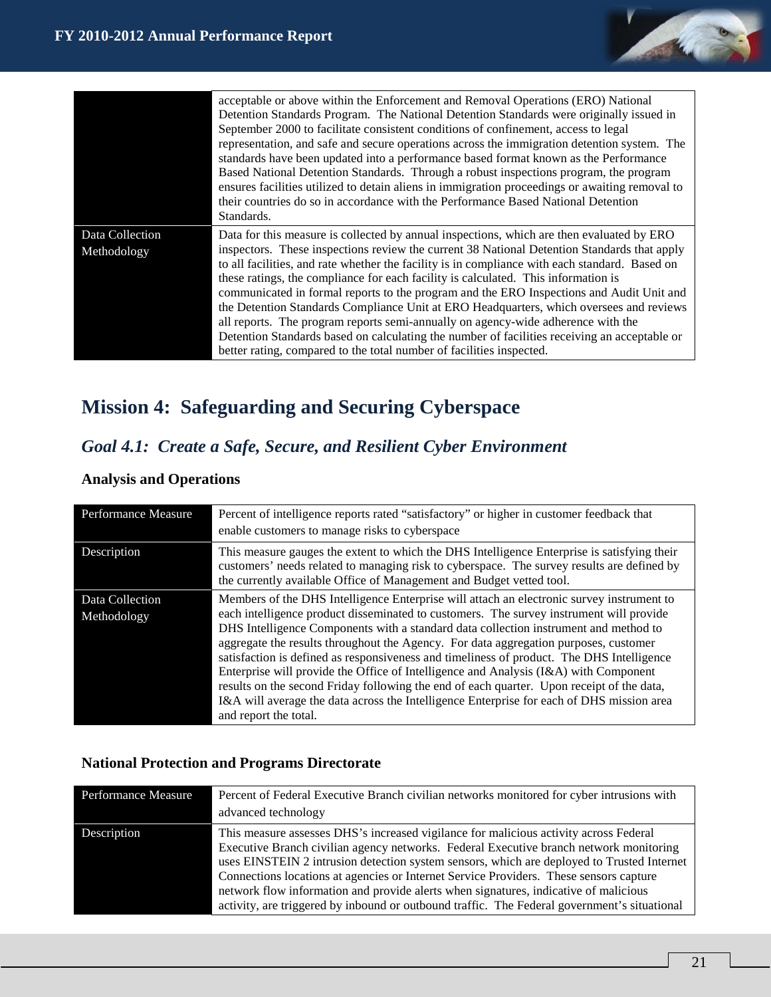

|                                | acceptable or above within the Enforcement and Removal Operations (ERO) National<br>Detention Standards Program. The National Detention Standards were originally issued in<br>September 2000 to facilitate consistent conditions of confinement, access to legal<br>representation, and safe and secure operations across the immigration detention system. The<br>standards have been updated into a performance based format known as the Performance<br>Based National Detention Standards. Through a robust inspections program, the program<br>ensures facilities utilized to detain aliens in immigration proceedings or awaiting removal to<br>their countries do so in accordance with the Performance Based National Detention<br>Standards.                                                                              |
|--------------------------------|-------------------------------------------------------------------------------------------------------------------------------------------------------------------------------------------------------------------------------------------------------------------------------------------------------------------------------------------------------------------------------------------------------------------------------------------------------------------------------------------------------------------------------------------------------------------------------------------------------------------------------------------------------------------------------------------------------------------------------------------------------------------------------------------------------------------------------------|
| Data Collection<br>Methodology | Data for this measure is collected by annual inspections, which are then evaluated by ERO<br>inspectors. These inspections review the current 38 National Detention Standards that apply<br>to all facilities, and rate whether the facility is in compliance with each standard. Based on<br>these ratings, the compliance for each facility is calculated. This information is<br>communicated in formal reports to the program and the ERO Inspections and Audit Unit and<br>the Detention Standards Compliance Unit at ERO Headquarters, which oversees and reviews<br>all reports. The program reports semi-annually on agency-wide adherence with the<br>Detention Standards based on calculating the number of facilities receiving an acceptable or<br>better rating, compared to the total number of facilities inspected. |

# **Mission 4: Safeguarding and Securing Cyberspace**

## *Goal 4.1: Create a Safe, Secure, and Resilient Cyber Environment*

|  |  | <b>Analysis and Operations</b> |
|--|--|--------------------------------|
|  |  |                                |

| Performance Measure            | Percent of intelligence reports rated "satisfactory" or higher in customer feedback that<br>enable customers to manage risks to cyberspace                                                                                                                                                                                                                                                                                                                                                                                                                                                                                                                                                                                                                                   |
|--------------------------------|------------------------------------------------------------------------------------------------------------------------------------------------------------------------------------------------------------------------------------------------------------------------------------------------------------------------------------------------------------------------------------------------------------------------------------------------------------------------------------------------------------------------------------------------------------------------------------------------------------------------------------------------------------------------------------------------------------------------------------------------------------------------------|
| Description                    | This measure gauges the extent to which the DHS Intelligence Enterprise is satisfying their<br>customers' needs related to managing risk to cyberspace. The survey results are defined by<br>the currently available Office of Management and Budget vetted tool.                                                                                                                                                                                                                                                                                                                                                                                                                                                                                                            |
| Data Collection<br>Methodology | Members of the DHS Intelligence Enterprise will attach an electronic survey instrument to<br>each intelligence product disseminated to customers. The survey instrument will provide<br>DHS Intelligence Components with a standard data collection instrument and method to<br>aggregate the results throughout the Agency. For data aggregation purposes, customer<br>satisfaction is defined as responsiveness and timeliness of product. The DHS Intelligence<br>Enterprise will provide the Office of Intelligence and Analysis (I&A) with Component<br>results on the second Friday following the end of each quarter. Upon receipt of the data,<br>I&A will average the data across the Intelligence Enterprise for each of DHS mission area<br>and report the total. |

| Performance Measure | Percent of Federal Executive Branch civilian networks monitored for cyber intrusions with<br>advanced technology                                                                                                                                                                                                                                                                                                                                                                                                                                                |
|---------------------|-----------------------------------------------------------------------------------------------------------------------------------------------------------------------------------------------------------------------------------------------------------------------------------------------------------------------------------------------------------------------------------------------------------------------------------------------------------------------------------------------------------------------------------------------------------------|
| Description         | This measure assesses DHS's increased vigilance for malicious activity across Federal<br>Executive Branch civilian agency networks. Federal Executive branch network monitoring<br>uses EINSTEIN 2 intrusion detection system sensors, which are deployed to Trusted Internet<br>Connections locations at agencies or Internet Service Providers. These sensors capture<br>network flow information and provide alerts when signatures, indicative of malicious<br>activity, are triggered by inbound or outbound traffic. The Federal government's situational |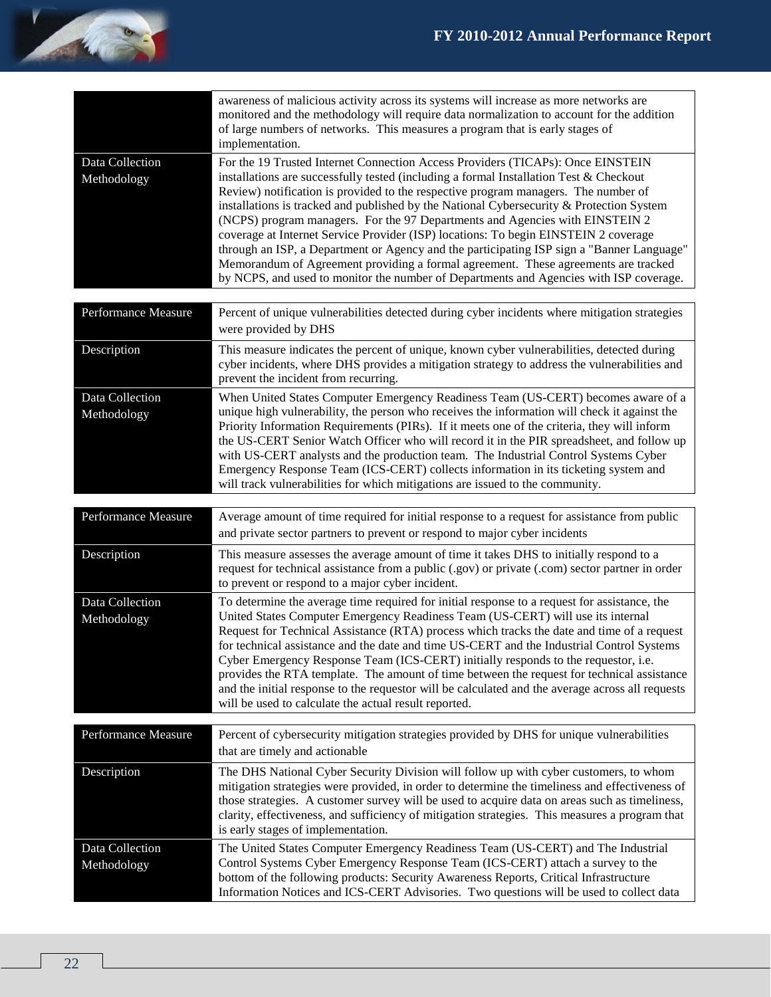

|                                | awareness of malicious activity across its systems will increase as more networks are<br>monitored and the methodology will require data normalization to account for the addition<br>of large numbers of networks. This measures a program that is early stages of<br>implementation.                                                                                                                                                                                                                                                                                                                                                                                                                                                                                                                            |
|--------------------------------|-------------------------------------------------------------------------------------------------------------------------------------------------------------------------------------------------------------------------------------------------------------------------------------------------------------------------------------------------------------------------------------------------------------------------------------------------------------------------------------------------------------------------------------------------------------------------------------------------------------------------------------------------------------------------------------------------------------------------------------------------------------------------------------------------------------------|
| Data Collection<br>Methodology | For the 19 Trusted Internet Connection Access Providers (TICAPs): Once EINSTEIN<br>installations are successfully tested (including a formal Installation Test & Checkout<br>Review) notification is provided to the respective program managers. The number of<br>installations is tracked and published by the National Cybersecurity $&$ Protection System<br>(NCPS) program managers. For the 97 Departments and Agencies with EINSTEIN 2<br>coverage at Internet Service Provider (ISP) locations: To begin EINSTEIN 2 coverage<br>through an ISP, a Department or Agency and the participating ISP sign a "Banner Language"<br>Memorandum of Agreement providing a formal agreement. These agreements are tracked<br>by NCPS, and used to monitor the number of Departments and Agencies with ISP coverage. |
| Performance Measure            | Percent of unique vulnerabilities detected during cyber incidents where mitigation strategies<br>were provided by DHS                                                                                                                                                                                                                                                                                                                                                                                                                                                                                                                                                                                                                                                                                             |
| Description                    | This measure indicates the percent of unique, known cyber vulnerabilities, detected during<br>cyber incidents, where DHS provides a mitigation strategy to address the vulnerabilities and<br>prevent the incident from recurring.                                                                                                                                                                                                                                                                                                                                                                                                                                                                                                                                                                                |
| Data Collection<br>Methodology | When United States Computer Emergency Readiness Team (US-CERT) becomes aware of a<br>unique high vulnerability, the person who receives the information will check it against the<br>Priority Information Requirements (PIRs). If it meets one of the criteria, they will inform<br>the US-CERT Senior Watch Officer who will record it in the PIR spreadsheet, and follow up<br>with US-CERT analysts and the production team. The Industrial Control Systems Cyber<br>Emergency Response Team (ICS-CERT) collects information in its ticketing system and<br>will track vulnerabilities for which mitigations are issued to the community.                                                                                                                                                                      |
|                                |                                                                                                                                                                                                                                                                                                                                                                                                                                                                                                                                                                                                                                                                                                                                                                                                                   |
| Performance Measure            | Average amount of time required for initial response to a request for assistance from public<br>and private sector partners to prevent or respond to major cyber incidents                                                                                                                                                                                                                                                                                                                                                                                                                                                                                                                                                                                                                                        |
| Description                    | This measure assesses the average amount of time it takes DHS to initially respond to a<br>request for technical assistance from a public (.gov) or private (.com) sector partner in order<br>to prevent or respond to a major cyber incident.                                                                                                                                                                                                                                                                                                                                                                                                                                                                                                                                                                    |
| Data Collection<br>Methodology | To determine the average time required for initial response to a request for assistance, the<br>United States Computer Emergency Readiness Team (US-CERT) will use its internal<br>Request for Technical Assistance (RTA) process which tracks the date and time of a request<br>for technical assistance and the date and time US-CERT and the Industrial Control Systems<br>Cyber Emergency Response Team (ICS-CERT) initially responds to the requestor, i.e.<br>provides the RTA template. The amount of time between the request for technical assistance<br>and the initial response to the requestor will be calculated and the average across all requests<br>will be used to calculate the actual result reported.                                                                                       |
| Performance Measure            | Percent of cybersecurity mitigation strategies provided by DHS for unique vulnerabilities<br>that are timely and actionable                                                                                                                                                                                                                                                                                                                                                                                                                                                                                                                                                                                                                                                                                       |
| Description                    | The DHS National Cyber Security Division will follow up with cyber customers, to whom<br>mitigation strategies were provided, in order to determine the timeliness and effectiveness of<br>those strategies. A customer survey will be used to acquire data on areas such as timeliness,<br>clarity, effectiveness, and sufficiency of mitigation strategies. This measures a program that<br>is early stages of implementation.                                                                                                                                                                                                                                                                                                                                                                                  |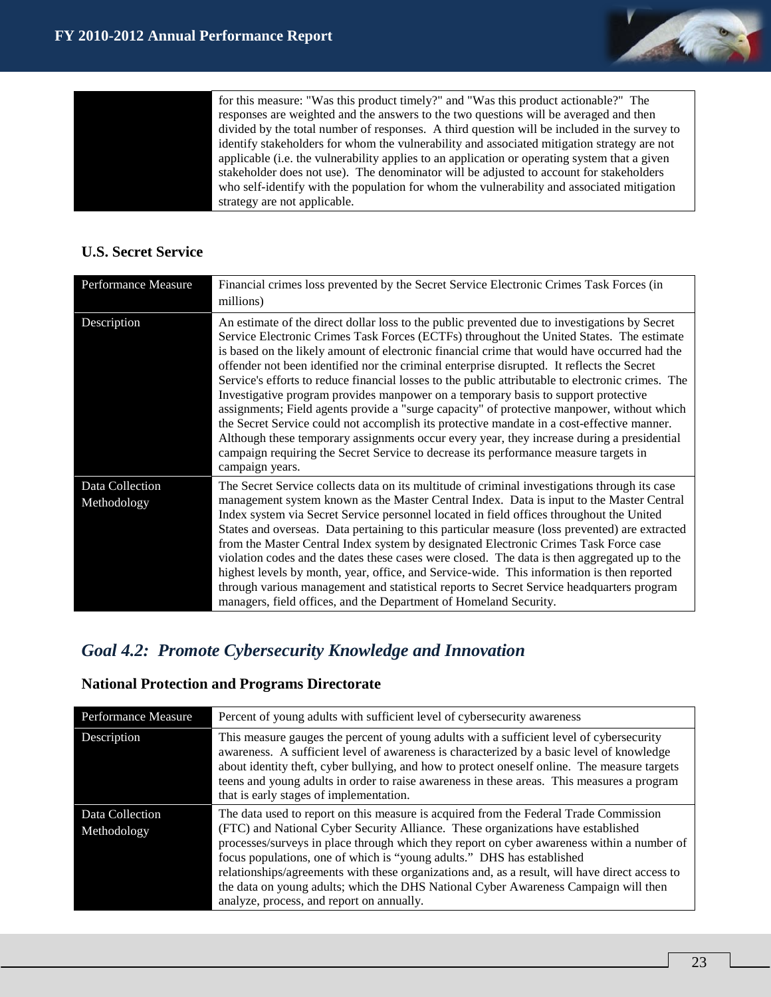

| for this measure: "Was this product timely?" and "Was this product actionable?" The           |
|-----------------------------------------------------------------------------------------------|
| responses are weighted and the answers to the two questions will be averaged and then         |
| divided by the total number of responses. A third question will be included in the survey to  |
| identify stakeholders for whom the vulnerability and associated mitigation strategy are not   |
| applicable (i.e. the vulnerability applies to an application or operating system that a given |
| stakeholder does not use). The denominator will be adjusted to account for stakeholders       |
| who self-identify with the population for whom the vulnerability and associated mitigation    |
| strategy are not applicable.                                                                  |
|                                                                                               |

#### **U.S. Secret Service**

| <b>Performance Measure</b>     | Financial crimes loss prevented by the Secret Service Electronic Crimes Task Forces (in<br>millions)                                                                                                                                                                                                                                                                                                                                                                                                                                                                                                                                                                                                                                                                                                                                                                                                                                                                                    |
|--------------------------------|-----------------------------------------------------------------------------------------------------------------------------------------------------------------------------------------------------------------------------------------------------------------------------------------------------------------------------------------------------------------------------------------------------------------------------------------------------------------------------------------------------------------------------------------------------------------------------------------------------------------------------------------------------------------------------------------------------------------------------------------------------------------------------------------------------------------------------------------------------------------------------------------------------------------------------------------------------------------------------------------|
| Description                    | An estimate of the direct dollar loss to the public prevented due to investigations by Secret<br>Service Electronic Crimes Task Forces (ECTFs) throughout the United States. The estimate<br>is based on the likely amount of electronic financial crime that would have occurred had the<br>offender not been identified nor the criminal enterprise disrupted. It reflects the Secret<br>Service's efforts to reduce financial losses to the public attributable to electronic crimes. The<br>Investigative program provides manpower on a temporary basis to support protective<br>assignments; Field agents provide a "surge capacity" of protective manpower, without which<br>the Secret Service could not accomplish its protective mandate in a cost-effective manner.<br>Although these temporary assignments occur every year, they increase during a presidential<br>campaign requiring the Secret Service to decrease its performance measure targets in<br>campaign years. |
| Data Collection<br>Methodology | The Secret Service collects data on its multitude of criminal investigations through its case<br>management system known as the Master Central Index. Data is input to the Master Central<br>Index system via Secret Service personnel located in field offices throughout the United<br>States and overseas. Data pertaining to this particular measure (loss prevented) are extracted<br>from the Master Central Index system by designated Electronic Crimes Task Force case<br>violation codes and the dates these cases were closed. The data is then aggregated up to the<br>highest levels by month, year, office, and Service-wide. This information is then reported<br>through various management and statistical reports to Secret Service headquarters program<br>managers, field offices, and the Department of Homeland Security.                                                                                                                                         |

## *Goal 4.2: Promote Cybersecurity Knowledge and Innovation*

| Performance Measure            | Percent of young adults with sufficient level of cybersecurity awareness                                                                                                                                                                                                                                                                                                                                                                                                                                                                                                                |
|--------------------------------|-----------------------------------------------------------------------------------------------------------------------------------------------------------------------------------------------------------------------------------------------------------------------------------------------------------------------------------------------------------------------------------------------------------------------------------------------------------------------------------------------------------------------------------------------------------------------------------------|
| Description                    | This measure gauges the percent of young adults with a sufficient level of cybersecurity<br>awareness. A sufficient level of awareness is characterized by a basic level of knowledge<br>about identity theft, cyber bullying, and how to protect oneself online. The measure targets<br>teens and young adults in order to raise awareness in these areas. This measures a program<br>that is early stages of implementation.                                                                                                                                                          |
| Data Collection<br>Methodology | The data used to report on this measure is acquired from the Federal Trade Commission<br>(FTC) and National Cyber Security Alliance. These organizations have established<br>processes/surveys in place through which they report on cyber awareness within a number of<br>focus populations, one of which is "young adults." DHS has established<br>relationships/agreements with these organizations and, as a result, will have direct access to<br>the data on young adults; which the DHS National Cyber Awareness Campaign will then<br>analyze, process, and report on annually. |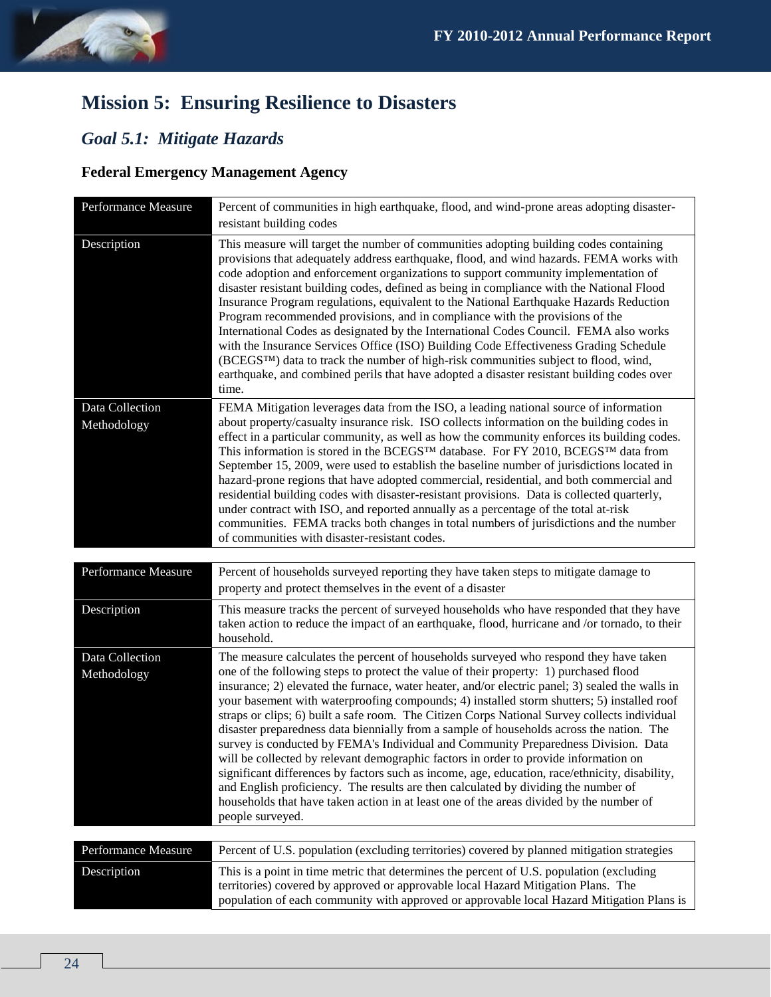

# **Mission 5: Ensuring Resilience to Disasters**

### *Goal 5.1: Mitigate Hazards*

| Performance Measure                | Percent of communities in high earthquake, flood, and wind-prone areas adopting disaster-<br>resistant building codes                                                                                                                                                                                                                                                                                                                                                                                                                                                                                                                                                                                                                                                                                                                                                                                                                                                                                                                                            |
|------------------------------------|------------------------------------------------------------------------------------------------------------------------------------------------------------------------------------------------------------------------------------------------------------------------------------------------------------------------------------------------------------------------------------------------------------------------------------------------------------------------------------------------------------------------------------------------------------------------------------------------------------------------------------------------------------------------------------------------------------------------------------------------------------------------------------------------------------------------------------------------------------------------------------------------------------------------------------------------------------------------------------------------------------------------------------------------------------------|
| Description                        | This measure will target the number of communities adopting building codes containing<br>provisions that adequately address earthquake, flood, and wind hazards. FEMA works with<br>code adoption and enforcement organizations to support community implementation of<br>disaster resistant building codes, defined as being in compliance with the National Flood<br>Insurance Program regulations, equivalent to the National Earthquake Hazards Reduction<br>Program recommended provisions, and in compliance with the provisions of the<br>International Codes as designated by the International Codes Council. FEMA also works<br>with the Insurance Services Office (ISO) Building Code Effectiveness Grading Schedule<br>(BCEGSTM) data to track the number of high-risk communities subject to flood, wind,<br>earthquake, and combined perils that have adopted a disaster resistant building codes over<br>time.                                                                                                                                    |
| Data Collection<br>Methodology     | FEMA Mitigation leverages data from the ISO, a leading national source of information<br>about property/casualty insurance risk. ISO collects information on the building codes in<br>effect in a particular community, as well as how the community enforces its building codes.<br>This information is stored in the BCEGS™ database. For FY 2010, BCEGS™ data from<br>September 15, 2009, were used to establish the baseline number of jurisdictions located in<br>hazard-prone regions that have adopted commercial, residential, and both commercial and<br>residential building codes with disaster-resistant provisions. Data is collected quarterly,<br>under contract with ISO, and reported annually as a percentage of the total at-risk<br>communities. FEMA tracks both changes in total numbers of jurisdictions and the number<br>of communities with disaster-resistant codes.                                                                                                                                                                  |
|                                    |                                                                                                                                                                                                                                                                                                                                                                                                                                                                                                                                                                                                                                                                                                                                                                                                                                                                                                                                                                                                                                                                  |
| Performance Measure                | Percent of households surveyed reporting they have taken steps to mitigate damage to                                                                                                                                                                                                                                                                                                                                                                                                                                                                                                                                                                                                                                                                                                                                                                                                                                                                                                                                                                             |
| Description                        | property and protect themselves in the event of a disaster<br>This measure tracks the percent of surveyed households who have responded that they have<br>taken action to reduce the impact of an earthquake, flood, hurricane and /or tornado, to their<br>household.                                                                                                                                                                                                                                                                                                                                                                                                                                                                                                                                                                                                                                                                                                                                                                                           |
| Data Collection<br>Methodology     | The measure calculates the percent of households surveyed who respond they have taken<br>one of the following steps to protect the value of their property: 1) purchased flood<br>insurance; 2) elevated the furnace, water heater, and/or electric panel; 3) sealed the walls in<br>your basement with waterproofing compounds; 4) installed storm shutters; 5) installed roof<br>straps or clips; 6) built a safe room. The Citizen Corps National Survey collects individual<br>disaster preparedness data biennially from a sample of households across the nation. The<br>survey is conducted by FEMA's Individual and Community Preparedness Division. Data<br>will be collected by relevant demographic factors in order to provide information on<br>significant differences by factors such as income, age, education, race/ethnicity, disability,<br>and English proficiency. The results are then calculated by dividing the number of<br>households that have taken action in at least one of the areas divided by the number of<br>people surveyed. |
|                                    |                                                                                                                                                                                                                                                                                                                                                                                                                                                                                                                                                                                                                                                                                                                                                                                                                                                                                                                                                                                                                                                                  |
| Performance Measure<br>Description | Percent of U.S. population (excluding territories) covered by planned mitigation strategies<br>This is a point in time metric that determines the percent of U.S. population (excluding                                                                                                                                                                                                                                                                                                                                                                                                                                                                                                                                                                                                                                                                                                                                                                                                                                                                          |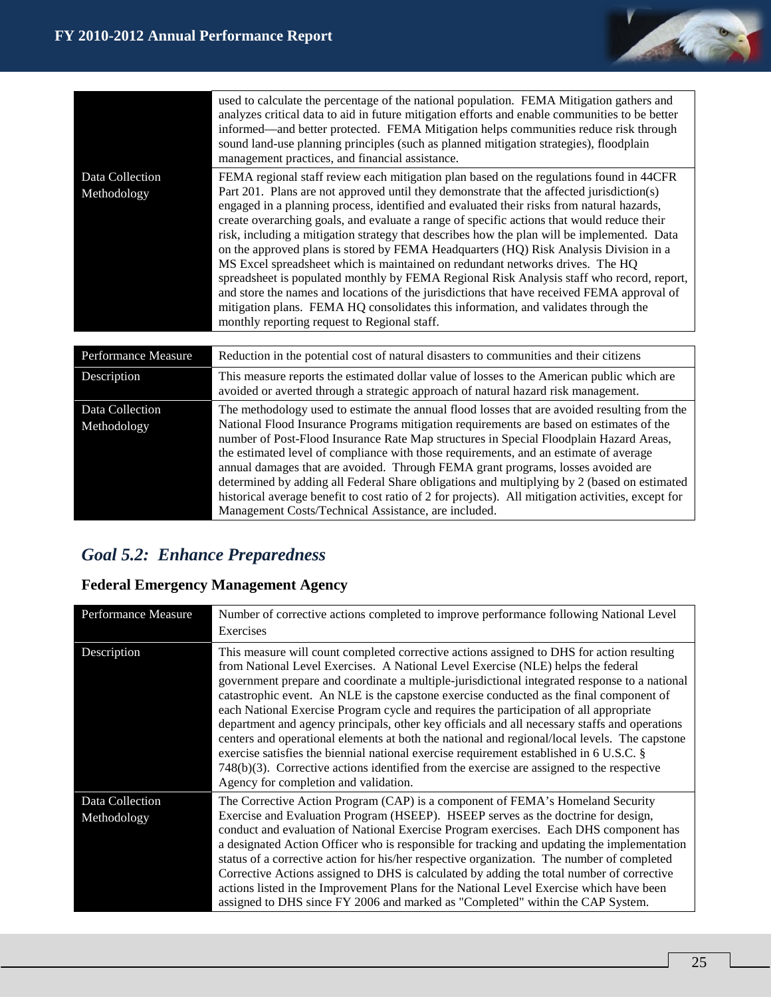

|                                | used to calculate the percentage of the national population. FEMA Mitigation gathers and<br>analyzes critical data to aid in future mitigation efforts and enable communities to be better<br>informed—and better protected. FEMA Mitigation helps communities reduce risk through<br>sound land-use planning principles (such as planned mitigation strategies), floodplain<br>management practices, and financial assistance.                                                                                                                                                                                                                                                                                                                                                                                                                                                                                                                                                           |
|--------------------------------|-------------------------------------------------------------------------------------------------------------------------------------------------------------------------------------------------------------------------------------------------------------------------------------------------------------------------------------------------------------------------------------------------------------------------------------------------------------------------------------------------------------------------------------------------------------------------------------------------------------------------------------------------------------------------------------------------------------------------------------------------------------------------------------------------------------------------------------------------------------------------------------------------------------------------------------------------------------------------------------------|
| Data Collection<br>Methodology | FEMA regional staff review each mitigation plan based on the regulations found in 44CFR<br>Part 201. Plans are not approved until they demonstrate that the affected jurisdiction(s)<br>engaged in a planning process, identified and evaluated their risks from natural hazards,<br>create overarching goals, and evaluate a range of specific actions that would reduce their<br>risk, including a mitigation strategy that describes how the plan will be implemented. Data<br>on the approved plans is stored by FEMA Headquarters (HQ) Risk Analysis Division in a<br>MS Excel spreadsheet which is maintained on redundant networks drives. The HQ<br>spreadsheet is populated monthly by FEMA Regional Risk Analysis staff who record, report,<br>and store the names and locations of the jurisdictions that have received FEMA approval of<br>mitigation plans. FEMA HQ consolidates this information, and validates through the<br>monthly reporting request to Regional staff. |
| <b>Performance Measure</b>     | Reduction in the potential cost of natural disasters to communities and their citizens                                                                                                                                                                                                                                                                                                                                                                                                                                                                                                                                                                                                                                                                                                                                                                                                                                                                                                    |
| Description                    | This measure reports the estimated dollar value of losses to the American public which are<br>avoided or averted through a strategic approach of natural hazard risk management.                                                                                                                                                                                                                                                                                                                                                                                                                                                                                                                                                                                                                                                                                                                                                                                                          |
| Data Collection<br>Methodology | The methodology used to estimate the annual flood losses that are avoided resulting from the<br>National Flood Insurance Programs mitigation requirements are based on estimates of the<br>number of Post-Flood Insurance Rate Map structures in Special Floodplain Hazard Areas,<br>the estimated level of compliance with those requirements, and an estimate of average<br>annual damages that are avoided. Through FEMA grant programs, losses avoided are<br>determined by adding all Federal Share obligations and multiplying by 2 (based on estimated<br>historical average benefit to cost ratio of 2 for projects). All mitigation activities, except for<br>Management Costs/Technical Assistance, are included.                                                                                                                                                                                                                                                               |

## *Goal 5.2: Enhance Preparedness*

| Performance Measure            | Number of corrective actions completed to improve performance following National Level<br>Exercises                                                                                                                                                                                                                                                                                                                                                                                                                                                                                                                                                                                                                                                                                                                                                                                                       |
|--------------------------------|-----------------------------------------------------------------------------------------------------------------------------------------------------------------------------------------------------------------------------------------------------------------------------------------------------------------------------------------------------------------------------------------------------------------------------------------------------------------------------------------------------------------------------------------------------------------------------------------------------------------------------------------------------------------------------------------------------------------------------------------------------------------------------------------------------------------------------------------------------------------------------------------------------------|
| Description                    | This measure will count completed corrective actions assigned to DHS for action resulting<br>from National Level Exercises. A National Level Exercise (NLE) helps the federal<br>government prepare and coordinate a multiple-jurisdictional integrated response to a national<br>catastrophic event. An NLE is the capstone exercise conducted as the final component of<br>each National Exercise Program cycle and requires the participation of all appropriate<br>department and agency principals, other key officials and all necessary staffs and operations<br>centers and operational elements at both the national and regional/local levels. The capstone<br>exercise satisfies the biennial national exercise requirement established in 6 U.S.C. §<br>$748(b)(3)$ . Corrective actions identified from the exercise are assigned to the respective<br>Agency for completion and validation. |
| Data Collection<br>Methodology | The Corrective Action Program (CAP) is a component of FEMA's Homeland Security<br>Exercise and Evaluation Program (HSEEP). HSEEP serves as the doctrine for design,<br>conduct and evaluation of National Exercise Program exercises. Each DHS component has<br>a designated Action Officer who is responsible for tracking and updating the implementation<br>status of a corrective action for his/her respective organization. The number of completed<br>Corrective Actions assigned to DHS is calculated by adding the total number of corrective<br>actions listed in the Improvement Plans for the National Level Exercise which have been<br>assigned to DHS since FY 2006 and marked as "Completed" within the CAP System.                                                                                                                                                                       |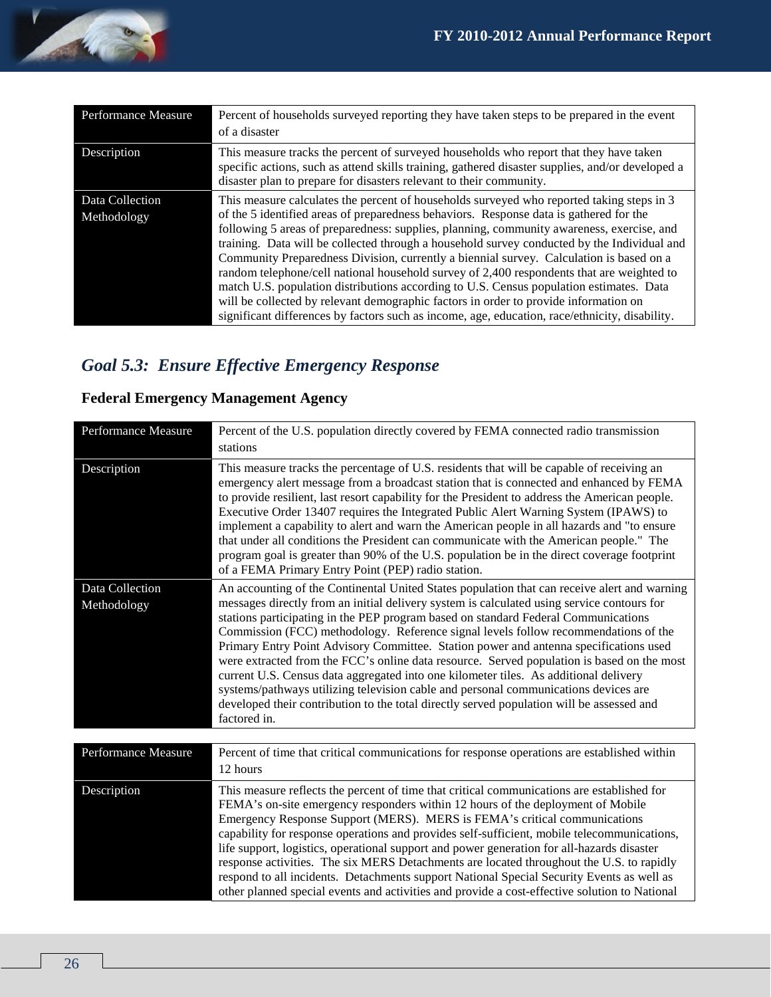

| Performance Measure            | Percent of households surveyed reporting they have taken steps to be prepared in the event<br>of a disaster                                                                                                                                                                                                                                                                                                                                                                                                                                                                                                                                                                                                                                                                                                                                                  |
|--------------------------------|--------------------------------------------------------------------------------------------------------------------------------------------------------------------------------------------------------------------------------------------------------------------------------------------------------------------------------------------------------------------------------------------------------------------------------------------------------------------------------------------------------------------------------------------------------------------------------------------------------------------------------------------------------------------------------------------------------------------------------------------------------------------------------------------------------------------------------------------------------------|
| Description                    | This measure tracks the percent of surveyed households who report that they have taken<br>specific actions, such as attend skills training, gathered disaster supplies, and/or developed a<br>disaster plan to prepare for disasters relevant to their community.                                                                                                                                                                                                                                                                                                                                                                                                                                                                                                                                                                                            |
| Data Collection<br>Methodology | This measure calculates the percent of households surveyed who reported taking steps in 3<br>of the 5 identified areas of preparedness behaviors. Response data is gathered for the<br>following 5 areas of preparedness: supplies, planning, community awareness, exercise, and<br>training. Data will be collected through a household survey conducted by the Individual and<br>Community Preparedness Division, currently a biennial survey. Calculation is based on a<br>random telephone/cell national household survey of 2,400 respondents that are weighted to<br>match U.S. population distributions according to U.S. Census population estimates. Data<br>will be collected by relevant demographic factors in order to provide information on<br>significant differences by factors such as income, age, education, race/ethnicity, disability. |

## *Goal 5.3: Ensure Effective Emergency Response*

| Performance Measure            | Percent of the U.S. population directly covered by FEMA connected radio transmission<br>stations                                                                                                                                                                                                                                                                                                                                                                                                                                                                                                                                                                                                                                                                                                                                                           |
|--------------------------------|------------------------------------------------------------------------------------------------------------------------------------------------------------------------------------------------------------------------------------------------------------------------------------------------------------------------------------------------------------------------------------------------------------------------------------------------------------------------------------------------------------------------------------------------------------------------------------------------------------------------------------------------------------------------------------------------------------------------------------------------------------------------------------------------------------------------------------------------------------|
| Description                    | This measure tracks the percentage of U.S. residents that will be capable of receiving an<br>emergency alert message from a broadcast station that is connected and enhanced by FEMA<br>to provide resilient, last resort capability for the President to address the American people.<br>Executive Order 13407 requires the Integrated Public Alert Warning System (IPAWS) to<br>implement a capability to alert and warn the American people in all hazards and "to ensure<br>that under all conditions the President can communicate with the American people." The<br>program goal is greater than 90% of the U.S. population be in the direct coverage footprint<br>of a FEMA Primary Entry Point (PEP) radio station.                                                                                                                                |
| Data Collection<br>Methodology | An accounting of the Continental United States population that can receive alert and warning<br>messages directly from an initial delivery system is calculated using service contours for<br>stations participating in the PEP program based on standard Federal Communications<br>Commission (FCC) methodology. Reference signal levels follow recommendations of the<br>Primary Entry Point Advisory Committee. Station power and antenna specifications used<br>were extracted from the FCC's online data resource. Served population is based on the most<br>current U.S. Census data aggregated into one kilometer tiles. As additional delivery<br>systems/pathways utilizing television cable and personal communications devices are<br>developed their contribution to the total directly served population will be assessed and<br>factored in. |
| Performance Measure            | Percent of time that critical communications for response operations are established within<br>12 hours                                                                                                                                                                                                                                                                                                                                                                                                                                                                                                                                                                                                                                                                                                                                                    |
| Description                    | This measure reflects the percent of time that critical communications are established for<br>FEMA's on-site emergency responders within 12 hours of the deployment of Mobile<br>Emergency Response Support (MERS). MERS is FEMA's critical communications<br>capability for response operations and provides self-sufficient, mobile telecommunications,<br>life support, logistics, operational support and power generation for all-hazards disaster<br>response activities. The six MERS Detachments are located throughout the U.S. to rapidly<br>respond to all incidents. Detachments support National Special Security Events as well as<br>other planned special events and activities and provide a cost-effective solution to National                                                                                                          |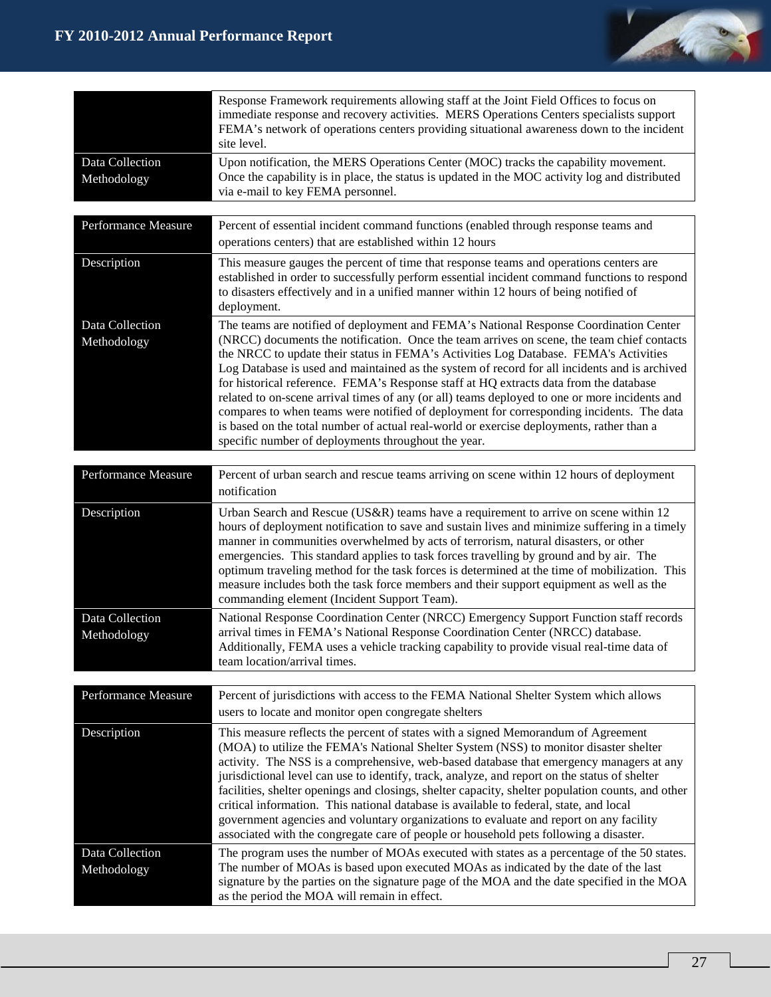

|                                | Response Framework requirements allowing staff at the Joint Field Offices to focus on<br>immediate response and recovery activities. MERS Operations Centers specialists support<br>FEMA's network of operations centers providing situational awareness down to the incident<br>site level.                                                                                                                                                                                                                                                                                                                                                                                                                                                                                                                          |
|--------------------------------|-----------------------------------------------------------------------------------------------------------------------------------------------------------------------------------------------------------------------------------------------------------------------------------------------------------------------------------------------------------------------------------------------------------------------------------------------------------------------------------------------------------------------------------------------------------------------------------------------------------------------------------------------------------------------------------------------------------------------------------------------------------------------------------------------------------------------|
| Data Collection<br>Methodology | Upon notification, the MERS Operations Center (MOC) tracks the capability movement.<br>Once the capability is in place, the status is updated in the MOC activity log and distributed<br>via e-mail to key FEMA personnel.                                                                                                                                                                                                                                                                                                                                                                                                                                                                                                                                                                                            |
|                                |                                                                                                                                                                                                                                                                                                                                                                                                                                                                                                                                                                                                                                                                                                                                                                                                                       |
| Performance Measure            | Percent of essential incident command functions (enabled through response teams and<br>operations centers) that are established within 12 hours                                                                                                                                                                                                                                                                                                                                                                                                                                                                                                                                                                                                                                                                       |
| Description                    | This measure gauges the percent of time that response teams and operations centers are<br>established in order to successfully perform essential incident command functions to respond<br>to disasters effectively and in a unified manner within 12 hours of being notified of<br>deployment.                                                                                                                                                                                                                                                                                                                                                                                                                                                                                                                        |
| Data Collection<br>Methodology | The teams are notified of deployment and FEMA's National Response Coordination Center<br>(NRCC) documents the notification. Once the team arrives on scene, the team chief contacts<br>the NRCC to update their status in FEMA's Activities Log Database. FEMA's Activities<br>Log Database is used and maintained as the system of record for all incidents and is archived<br>for historical reference. FEMA's Response staff at HQ extracts data from the database<br>related to on-scene arrival times of any (or all) teams deployed to one or more incidents and<br>compares to when teams were notified of deployment for corresponding incidents. The data<br>is based on the total number of actual real-world or exercise deployments, rather than a<br>specific number of deployments throughout the year. |
| Performance Measure            | Percent of urban search and rescue teams arriving on scene within 12 hours of deployment<br>notification                                                                                                                                                                                                                                                                                                                                                                                                                                                                                                                                                                                                                                                                                                              |
| Description                    | Urban Search and Rescue (US&R) teams have a requirement to arrive on scene within 12<br>hours of deployment notification to save and sustain lives and minimize suffering in a timely<br>manner in communities overwhelmed by acts of terrorism, natural disasters, or other<br>emergencies. This standard applies to task forces travelling by ground and by air. The<br>optimum traveling method for the task forces is determined at the time of mobilization. This<br>measure includes both the task force members and their support equipment as well as the<br>commanding element (Incident Support Team).                                                                                                                                                                                                      |
| Data Collection<br>Methodology | National Response Coordination Center (NRCC) Emergency Support Function staff records<br>arrival times in FEMA's National Response Coordination Center (NRCC) database.<br>Additionally, FEMA uses a vehicle tracking capability to provide visual real-time data of<br>team location/arrival times.                                                                                                                                                                                                                                                                                                                                                                                                                                                                                                                  |
| Performance Measure            | Percent of jurisdictions with access to the FEMA National Shelter System which allows<br>users to locate and monitor open congregate shelters                                                                                                                                                                                                                                                                                                                                                                                                                                                                                                                                                                                                                                                                         |
| Description                    | This measure reflects the percent of states with a signed Memorandum of Agreement<br>(MOA) to utilize the FEMA's National Shelter System (NSS) to monitor disaster shelter<br>activity. The NSS is a comprehensive, web-based database that emergency managers at any<br>jurisdictional level can use to identify, track, analyze, and report on the status of shelter<br>facilities, shelter openings and closings, shelter capacity, shelter population counts, and other<br>critical information. This national database is available to federal, state, and local<br>government agencies and voluntary organizations to evaluate and report on any facility<br>associated with the congregate care of people or household pets following a disaster.                                                              |
| Data Collection<br>Methodology | The program uses the number of MOAs executed with states as a percentage of the 50 states.<br>The number of MOAs is based upon executed MOAs as indicated by the date of the last<br>signature by the parties on the signature page of the MOA and the date specified in the MOA<br>as the period the MOA will remain in effect.                                                                                                                                                                                                                                                                                                                                                                                                                                                                                      |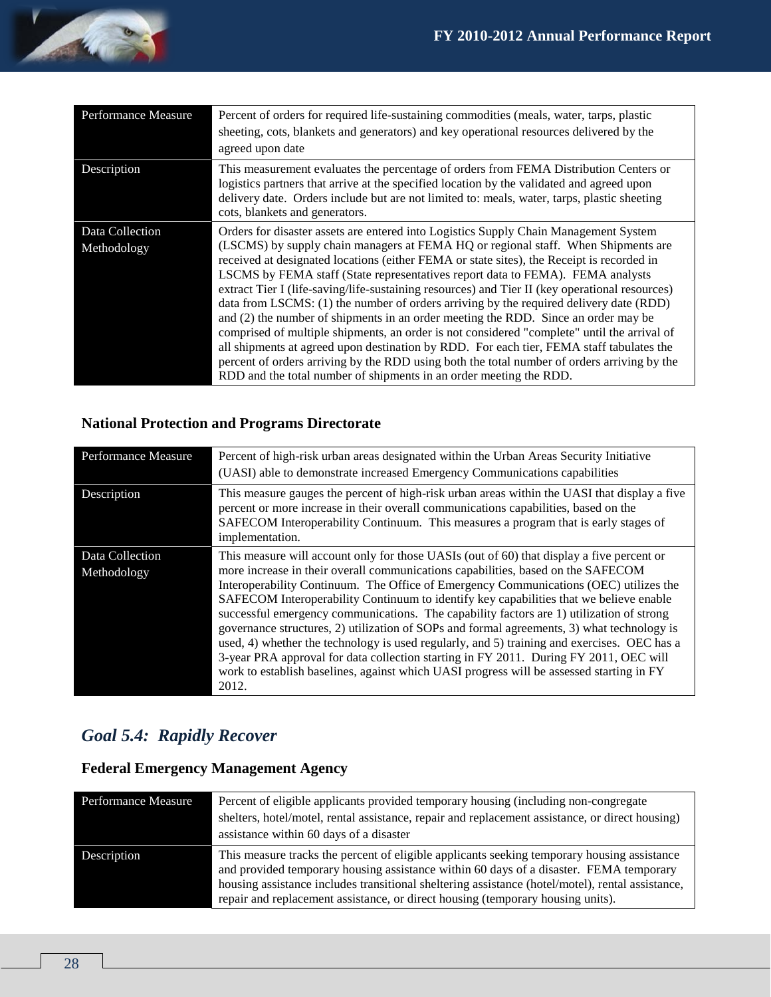

| Performance Measure            | Percent of orders for required life-sustaining commodities (meals, water, tarps, plastic<br>sheeting, cots, blankets and generators) and key operational resources delivered by the<br>agreed upon date                                                                                                                                                                                                                                                                                                                                                                                                                                                                                                                                                                                                                                                                                                                                                                                                    |
|--------------------------------|------------------------------------------------------------------------------------------------------------------------------------------------------------------------------------------------------------------------------------------------------------------------------------------------------------------------------------------------------------------------------------------------------------------------------------------------------------------------------------------------------------------------------------------------------------------------------------------------------------------------------------------------------------------------------------------------------------------------------------------------------------------------------------------------------------------------------------------------------------------------------------------------------------------------------------------------------------------------------------------------------------|
| Description                    | This measurement evaluates the percentage of orders from FEMA Distribution Centers or<br>logistics partners that arrive at the specified location by the validated and agreed upon<br>delivery date. Orders include but are not limited to: meals, water, tarps, plastic sheeting<br>cots, blankets and generators.                                                                                                                                                                                                                                                                                                                                                                                                                                                                                                                                                                                                                                                                                        |
| Data Collection<br>Methodology | Orders for disaster assets are entered into Logistics Supply Chain Management System<br>(LSCMS) by supply chain managers at FEMA HQ or regional staff. When Shipments are<br>received at designated locations (either FEMA or state sites), the Receipt is recorded in<br>LSCMS by FEMA staff (State representatives report data to FEMA). FEMA analysts<br>extract Tier I (life-saving/life-sustaining resources) and Tier II (key operational resources)<br>data from LSCMS: (1) the number of orders arriving by the required delivery date (RDD)<br>and (2) the number of shipments in an order meeting the RDD. Since an order may be<br>comprised of multiple shipments, an order is not considered "complete" until the arrival of<br>all shipments at agreed upon destination by RDD. For each tier, FEMA staff tabulates the<br>percent of orders arriving by the RDD using both the total number of orders arriving by the<br>RDD and the total number of shipments in an order meeting the RDD. |

#### **National Protection and Programs Directorate**

| <b>Performance Measure</b>     | Percent of high-risk urban areas designated within the Urban Areas Security Initiative<br>(UASI) able to demonstrate increased Emergency Communications capabilities                                                                                                                                                                                                                                                                                                                                                                                                                                                                                                                                                                                                                                                                                    |
|--------------------------------|---------------------------------------------------------------------------------------------------------------------------------------------------------------------------------------------------------------------------------------------------------------------------------------------------------------------------------------------------------------------------------------------------------------------------------------------------------------------------------------------------------------------------------------------------------------------------------------------------------------------------------------------------------------------------------------------------------------------------------------------------------------------------------------------------------------------------------------------------------|
| Description                    | This measure gauges the percent of high-risk urban areas within the UASI that display a five<br>percent or more increase in their overall communications capabilities, based on the<br>SAFECOM Interoperability Continuum. This measures a program that is early stages of<br>implementation.                                                                                                                                                                                                                                                                                                                                                                                                                                                                                                                                                           |
| Data Collection<br>Methodology | This measure will account only for those UASIs (out of 60) that display a five percent or<br>more increase in their overall communications capabilities, based on the SAFECOM<br>Interoperability Continuum. The Office of Emergency Communications (OEC) utilizes the<br>SAFECOM Interoperability Continuum to identify key capabilities that we believe enable<br>successful emergency communications. The capability factors are 1) utilization of strong<br>governance structures, 2) utilization of SOPs and formal agreements, 3) what technology is<br>used, 4) whether the technology is used regularly, and 5) training and exercises. OEC has a<br>3-year PRA approval for data collection starting in FY 2011. During FY 2011, OEC will<br>work to establish baselines, against which UASI progress will be assessed starting in FY<br>2012. |

## *Goal 5.4: Rapidly Recover*

| Performance Measure | Percent of eligible applicants provided temporary housing (including non-congregate)<br>shelters, hotel/motel, rental assistance, repair and replacement assistance, or direct housing)<br>assistance within 60 days of a disaster                                                                                                                                           |
|---------------------|------------------------------------------------------------------------------------------------------------------------------------------------------------------------------------------------------------------------------------------------------------------------------------------------------------------------------------------------------------------------------|
| Description         | This measure tracks the percent of eligible applicants seeking temporary housing assistance<br>and provided temporary housing assistance within 60 days of a disaster. FEMA temporary<br>housing assistance includes transitional sheltering assistance (hotel/motel), rental assistance,<br>repair and replacement assistance, or direct housing (temporary housing units). |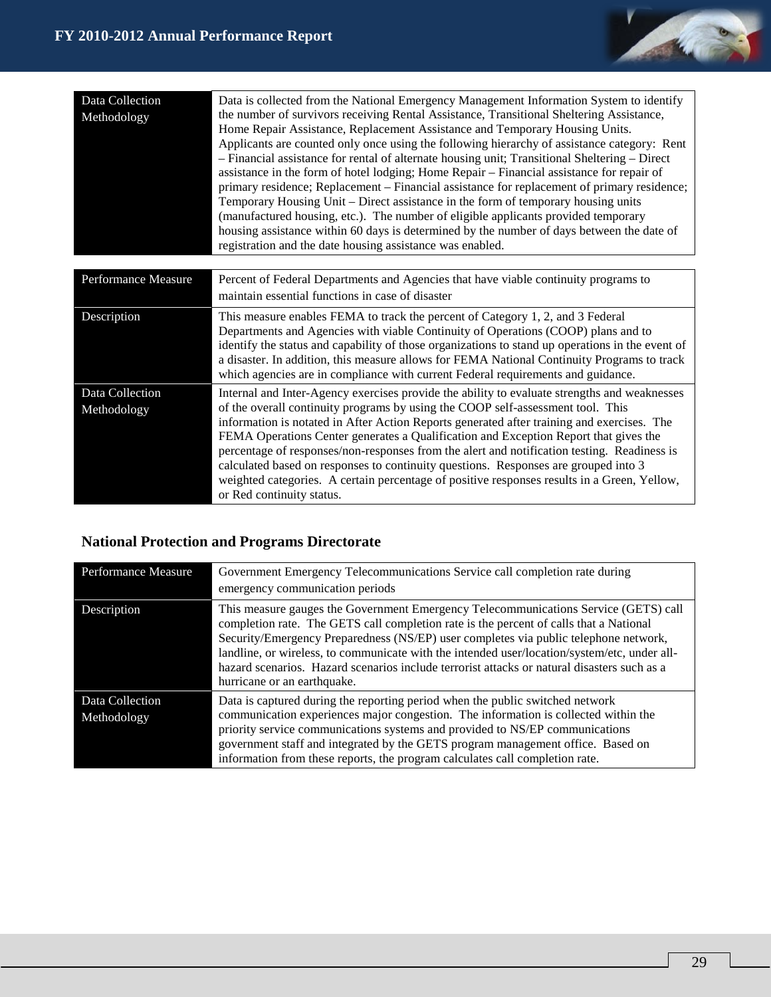

| Data Collection<br>Methodology | Data is collected from the National Emergency Management Information System to identify<br>the number of survivors receiving Rental Assistance, Transitional Sheltering Assistance,<br>Home Repair Assistance, Replacement Assistance and Temporary Housing Units.<br>Applicants are counted only once using the following hierarchy of assistance category: Rent<br>- Financial assistance for rental of alternate housing unit; Transitional Sheltering - Direct<br>assistance in the form of hotel lodging; Home Repair – Financial assistance for repair of<br>primary residence; Replacement – Financial assistance for replacement of primary residence;<br>Temporary Housing Unit – Direct assistance in the form of temporary housing units<br>(manufactured housing, etc.). The number of eligible applicants provided temporary<br>housing assistance within 60 days is determined by the number of days between the date of<br>registration and the date housing assistance was enabled. |
|--------------------------------|-----------------------------------------------------------------------------------------------------------------------------------------------------------------------------------------------------------------------------------------------------------------------------------------------------------------------------------------------------------------------------------------------------------------------------------------------------------------------------------------------------------------------------------------------------------------------------------------------------------------------------------------------------------------------------------------------------------------------------------------------------------------------------------------------------------------------------------------------------------------------------------------------------------------------------------------------------------------------------------------------------|
|                                |                                                                                                                                                                                                                                                                                                                                                                                                                                                                                                                                                                                                                                                                                                                                                                                                                                                                                                                                                                                                     |
| Performance Measure            | Percent of Federal Departments and Agencies that have viable continuity programs to<br>maintain essential functions in case of disaster                                                                                                                                                                                                                                                                                                                                                                                                                                                                                                                                                                                                                                                                                                                                                                                                                                                             |
| Description                    | This measure enables FEMA to track the percent of Category 1, 2, and 3 Federal<br>Departments and Agencies with viable Continuity of Operations (COOP) plans and to<br>identify the status and capability of those organizations to stand up operations in the event of<br>a disaster. In addition, this measure allows for FEMA National Continuity Programs to track<br>which agencies are in compliance with current Federal requirements and guidance.                                                                                                                                                                                                                                                                                                                                                                                                                                                                                                                                          |
| Data Collection<br>Methodology | Internal and Inter-Agency exercises provide the ability to evaluate strengths and weaknesses<br>of the overall continuity programs by using the COOP self-assessment tool. This<br>information is notated in After Action Reports generated after training and exercises. The<br>FEMA Operations Center generates a Qualification and Exception Report that gives the<br>percentage of responses/non-responses from the alert and notification testing. Readiness is<br>calculated based on responses to continuity questions. Responses are grouped into 3<br>weighted categories. A certain percentage of positive responses results in a Green, Yellow,<br>or Red continuity status.                                                                                                                                                                                                                                                                                                             |

| Performance Measure            | Government Emergency Telecommunications Service call completion rate during<br>emergency communication periods                                                                                                                                                                                                                                                                                                                                                                                      |
|--------------------------------|-----------------------------------------------------------------------------------------------------------------------------------------------------------------------------------------------------------------------------------------------------------------------------------------------------------------------------------------------------------------------------------------------------------------------------------------------------------------------------------------------------|
| Description                    | This measure gauges the Government Emergency Telecommunications Service (GETS) call<br>completion rate. The GETS call completion rate is the percent of calls that a National<br>Security/Emergency Preparedness (NS/EP) user completes via public telephone network,<br>landline, or wireless, to communicate with the intended user/location/system/etc, under all-<br>hazard scenarios. Hazard scenarios include terrorist attacks or natural disasters such as a<br>hurricane or an earthquake. |
| Data Collection<br>Methodology | Data is captured during the reporting period when the public switched network<br>communication experiences major congestion. The information is collected within the<br>priority service communications systems and provided to NS/EP communications<br>government staff and integrated by the GETS program management office. Based on<br>information from these reports, the program calculates call completion rate.                                                                             |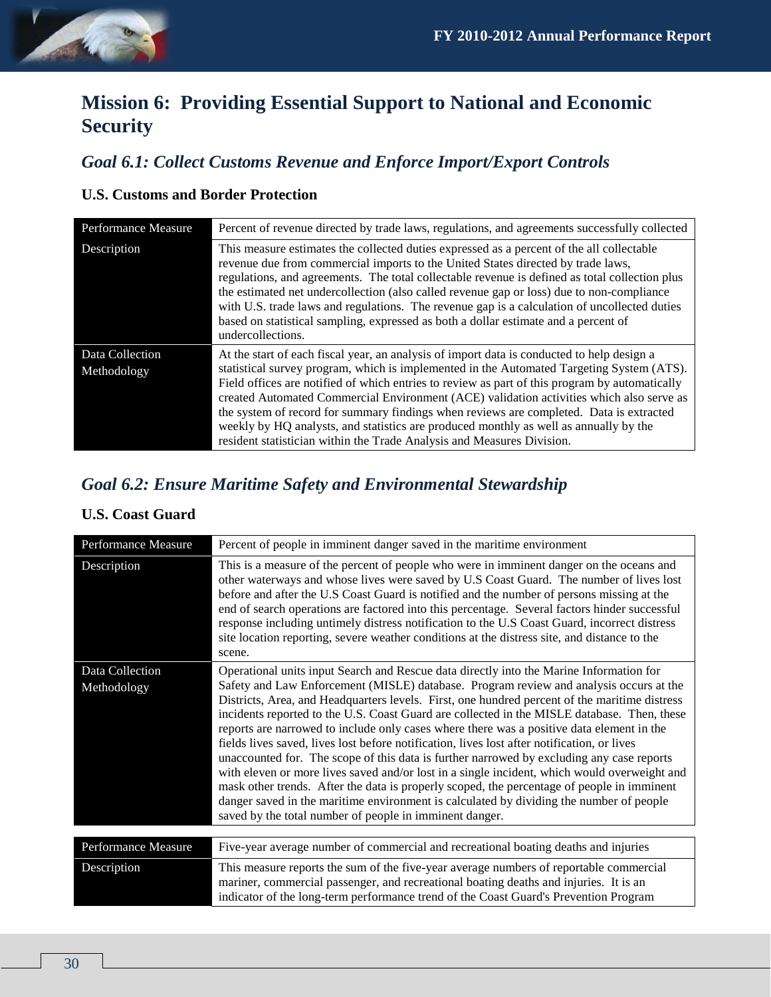

## **Mission 6: Providing Essential Support to National and Economic Security**

# *Goal 6.1: Collect Customs Revenue and Enforce Import/Export Controls*

#### **U.S. Customs and Border Protection**

| Performance Measure            | Percent of revenue directed by trade laws, regulations, and agreements successfully collected                                                                                                                                                                                                                                                                                                                                                                                                                                                                                                                                                       |
|--------------------------------|-----------------------------------------------------------------------------------------------------------------------------------------------------------------------------------------------------------------------------------------------------------------------------------------------------------------------------------------------------------------------------------------------------------------------------------------------------------------------------------------------------------------------------------------------------------------------------------------------------------------------------------------------------|
| Description                    | This measure estimates the collected duties expressed as a percent of the all collectable<br>revenue due from commercial imports to the United States directed by trade laws,<br>regulations, and agreements. The total collectable revenue is defined as total collection plus<br>the estimated net undercollection (also called revenue gap or loss) due to non-compliance<br>with U.S. trade laws and regulations. The revenue gap is a calculation of uncollected duties<br>based on statistical sampling, expressed as both a dollar estimate and a percent of<br>undercollections.                                                            |
| Data Collection<br>Methodology | At the start of each fiscal year, an analysis of import data is conducted to help design a<br>statistical survey program, which is implemented in the Automated Targeting System (ATS).<br>Field offices are notified of which entries to review as part of this program by automatically<br>created Automated Commercial Environment (ACE) validation activities which also serve as<br>the system of record for summary findings when reviews are completed. Data is extracted<br>weekly by HQ analysts, and statistics are produced monthly as well as annually by the<br>resident statistician within the Trade Analysis and Measures Division. |

### *Goal 6.2: Ensure Maritime Safety and Environmental Stewardship*

#### **U.S. Coast Guard**

| <b>Performance Measure</b>     | Percent of people in imminent danger saved in the maritime environment                                                                                                                                                                                                                                                                                                                                                                                                                                                                                                                                                                                                                                                                                                                                                                                                                                                                                                                                                         |
|--------------------------------|--------------------------------------------------------------------------------------------------------------------------------------------------------------------------------------------------------------------------------------------------------------------------------------------------------------------------------------------------------------------------------------------------------------------------------------------------------------------------------------------------------------------------------------------------------------------------------------------------------------------------------------------------------------------------------------------------------------------------------------------------------------------------------------------------------------------------------------------------------------------------------------------------------------------------------------------------------------------------------------------------------------------------------|
| Description                    | This is a measure of the percent of people who were in imminent danger on the oceans and<br>other waterways and whose lives were saved by U.S Coast Guard. The number of lives lost<br>before and after the U.S Coast Guard is notified and the number of persons missing at the<br>end of search operations are factored into this percentage. Several factors hinder successful<br>response including untimely distress notification to the U.S Coast Guard, incorrect distress<br>site location reporting, severe weather conditions at the distress site, and distance to the<br>scene.                                                                                                                                                                                                                                                                                                                                                                                                                                    |
| Data Collection<br>Methodology | Operational units input Search and Rescue data directly into the Marine Information for<br>Safety and Law Enforcement (MISLE) database. Program review and analysis occurs at the<br>Districts, Area, and Headquarters levels. First, one hundred percent of the maritime distress<br>incidents reported to the U.S. Coast Guard are collected in the MISLE database. Then, these<br>reports are narrowed to include only cases where there was a positive data element in the<br>fields lives saved, lives lost before notification, lives lost after notification, or lives<br>unaccounted for. The scope of this data is further narrowed by excluding any case reports<br>with eleven or more lives saved and/or lost in a single incident, which would overweight and<br>mask other trends. After the data is properly scoped, the percentage of people in imminent<br>danger saved in the maritime environment is calculated by dividing the number of people<br>saved by the total number of people in imminent danger. |
|                                |                                                                                                                                                                                                                                                                                                                                                                                                                                                                                                                                                                                                                                                                                                                                                                                                                                                                                                                                                                                                                                |
| Performance Measure            | Five-year average number of commercial and recreational boating deaths and injuries                                                                                                                                                                                                                                                                                                                                                                                                                                                                                                                                                                                                                                                                                                                                                                                                                                                                                                                                            |
| Description                    | This measure reports the sum of the five-year average numbers of reportable commercial<br>mariner, commercial passenger, and recreational boating deaths and injuries. It is an<br>indicator of the long-term performance trend of the Coast Guard's Prevention Program                                                                                                                                                                                                                                                                                                                                                                                                                                                                                                                                                                                                                                                                                                                                                        |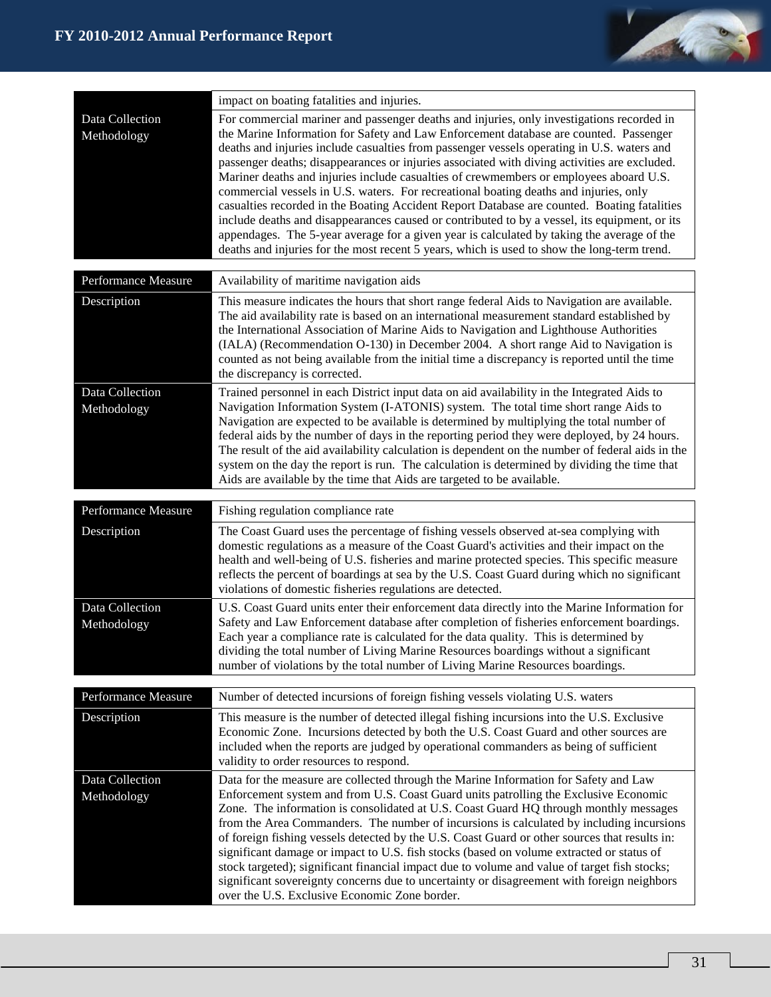

|                                    | impact on boating fatalities and injuries.                                                                                                                                                                                                                                                                                                                                                                                                                                                                                                                                                                                                                                                                                                                                                                                                                                                                                                                       |
|------------------------------------|------------------------------------------------------------------------------------------------------------------------------------------------------------------------------------------------------------------------------------------------------------------------------------------------------------------------------------------------------------------------------------------------------------------------------------------------------------------------------------------------------------------------------------------------------------------------------------------------------------------------------------------------------------------------------------------------------------------------------------------------------------------------------------------------------------------------------------------------------------------------------------------------------------------------------------------------------------------|
| Data Collection<br>Methodology     | For commercial mariner and passenger deaths and injuries, only investigations recorded in<br>the Marine Information for Safety and Law Enforcement database are counted. Passenger<br>deaths and injuries include casualties from passenger vessels operating in U.S. waters and<br>passenger deaths; disappearances or injuries associated with diving activities are excluded.<br>Mariner deaths and injuries include casualties of crewmembers or employees aboard U.S.<br>commercial vessels in U.S. waters. For recreational boating deaths and injuries, only<br>casualties recorded in the Boating Accident Report Database are counted. Boating fatalities<br>include deaths and disappearances caused or contributed to by a vessel, its equipment, or its<br>appendages. The 5-year average for a given year is calculated by taking the average of the<br>deaths and injuries for the most recent 5 years, which is used to show the long-term trend. |
| Performance Measure                | Availability of maritime navigation aids                                                                                                                                                                                                                                                                                                                                                                                                                                                                                                                                                                                                                                                                                                                                                                                                                                                                                                                         |
| Description                        | This measure indicates the hours that short range federal Aids to Navigation are available.<br>The aid availability rate is based on an international measurement standard established by<br>the International Association of Marine Aids to Navigation and Lighthouse Authorities<br>(IALA) (Recommendation O-130) in December 2004. A short range Aid to Navigation is<br>counted as not being available from the initial time a discrepancy is reported until the time<br>the discrepancy is corrected.                                                                                                                                                                                                                                                                                                                                                                                                                                                       |
| Data Collection<br>Methodology     | Trained personnel in each District input data on aid availability in the Integrated Aids to<br>Navigation Information System (I-ATONIS) system. The total time short range Aids to<br>Navigation are expected to be available is determined by multiplying the total number of<br>federal aids by the number of days in the reporting period they were deployed, by 24 hours.<br>The result of the aid availability calculation is dependent on the number of federal aids in the<br>system on the day the report is run. The calculation is determined by dividing the time that<br>Aids are available by the time that Aids are targeted to be available.                                                                                                                                                                                                                                                                                                      |
|                                    |                                                                                                                                                                                                                                                                                                                                                                                                                                                                                                                                                                                                                                                                                                                                                                                                                                                                                                                                                                  |
|                                    |                                                                                                                                                                                                                                                                                                                                                                                                                                                                                                                                                                                                                                                                                                                                                                                                                                                                                                                                                                  |
| Performance Measure<br>Description | Fishing regulation compliance rate<br>The Coast Guard uses the percentage of fishing vessels observed at-sea complying with<br>domestic regulations as a measure of the Coast Guard's activities and their impact on the<br>health and well-being of U.S. fisheries and marine protected species. This specific measure<br>reflects the percent of boardings at sea by the U.S. Coast Guard during which no significant<br>violations of domestic fisheries regulations are detected.                                                                                                                                                                                                                                                                                                                                                                                                                                                                            |
| Data Collection<br>Methodology     | U.S. Coast Guard units enter their enforcement data directly into the Marine Information for<br>Safety and Law Enforcement database after completion of fisheries enforcement boardings.<br>Each year a compliance rate is calculated for the data quality. This is determined by<br>dividing the total number of Living Marine Resources boardings without a significant<br>number of violations by the total number of Living Marine Resources boardings.                                                                                                                                                                                                                                                                                                                                                                                                                                                                                                      |
| Performance Measure                | Number of detected incursions of foreign fishing vessels violating U.S. waters                                                                                                                                                                                                                                                                                                                                                                                                                                                                                                                                                                                                                                                                                                                                                                                                                                                                                   |
| Description                        | This measure is the number of detected illegal fishing incursions into the U.S. Exclusive<br>Economic Zone. Incursions detected by both the U.S. Coast Guard and other sources are<br>included when the reports are judged by operational commanders as being of sufficient<br>validity to order resources to respond.                                                                                                                                                                                                                                                                                                                                                                                                                                                                                                                                                                                                                                           |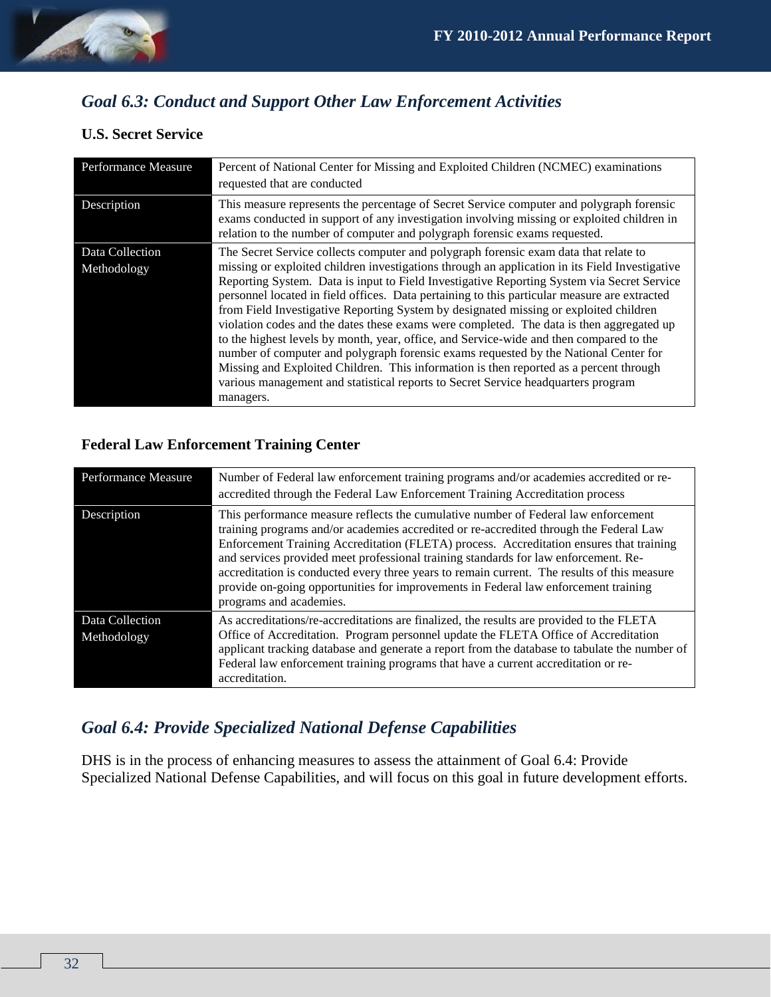

### *Goal 6.3: Conduct and Support Other Law Enforcement Activities*

#### **U.S. Secret Service**

| Performance Measure            | Percent of National Center for Missing and Exploited Children (NCMEC) examinations<br>requested that are conducted                                                                                                                                                                                                                                                                                                                                                                                                                                                                                                                                                                                                                                                                                                                                                                                                                                       |
|--------------------------------|----------------------------------------------------------------------------------------------------------------------------------------------------------------------------------------------------------------------------------------------------------------------------------------------------------------------------------------------------------------------------------------------------------------------------------------------------------------------------------------------------------------------------------------------------------------------------------------------------------------------------------------------------------------------------------------------------------------------------------------------------------------------------------------------------------------------------------------------------------------------------------------------------------------------------------------------------------|
| Description                    | This measure represents the percentage of Secret Service computer and polygraph forensic<br>exams conducted in support of any investigation involving missing or exploited children in<br>relation to the number of computer and polygraph forensic exams requested.                                                                                                                                                                                                                                                                                                                                                                                                                                                                                                                                                                                                                                                                                     |
| Data Collection<br>Methodology | The Secret Service collects computer and polygraph forensic exam data that relate to<br>missing or exploited children investigations through an application in its Field Investigative<br>Reporting System. Data is input to Field Investigative Reporting System via Secret Service<br>personnel located in field offices. Data pertaining to this particular measure are extracted<br>from Field Investigative Reporting System by designated missing or exploited children<br>violation codes and the dates these exams were completed. The data is then aggregated up<br>to the highest levels by month, year, office, and Service-wide and then compared to the<br>number of computer and polygraph forensic exams requested by the National Center for<br>Missing and Exploited Children. This information is then reported as a percent through<br>various management and statistical reports to Secret Service headquarters program<br>managers. |

#### **Federal Law Enforcement Training Center**

| Performance Measure            | Number of Federal law enforcement training programs and/or academies accredited or re-<br>accredited through the Federal Law Enforcement Training Accreditation process                                                                                                                                                                                                                                                                                                                                                                                                         |
|--------------------------------|---------------------------------------------------------------------------------------------------------------------------------------------------------------------------------------------------------------------------------------------------------------------------------------------------------------------------------------------------------------------------------------------------------------------------------------------------------------------------------------------------------------------------------------------------------------------------------|
| Description                    | This performance measure reflects the cumulative number of Federal law enforcement<br>training programs and/or academies accredited or re-accredited through the Federal Law<br>Enforcement Training Accreditation (FLETA) process. Accreditation ensures that training<br>and services provided meet professional training standards for law enforcement. Re-<br>accreditation is conducted every three years to remain current. The results of this measure<br>provide on-going opportunities for improvements in Federal law enforcement training<br>programs and academies. |
| Data Collection<br>Methodology | As accreditations/re-accreditations are finalized, the results are provided to the FLETA<br>Office of Accreditation. Program personnel update the FLETA Office of Accreditation<br>applicant tracking database and generate a report from the database to tabulate the number of<br>Federal law enforcement training programs that have a current accreditation or re-<br>accreditation.                                                                                                                                                                                        |

### *Goal 6.4: Provide Specialized National Defense Capabilities*

DHS is in the process of enhancing measures to assess the attainment of Goal 6.4: Provide Specialized National Defense Capabilities, and will focus on this goal in future development efforts.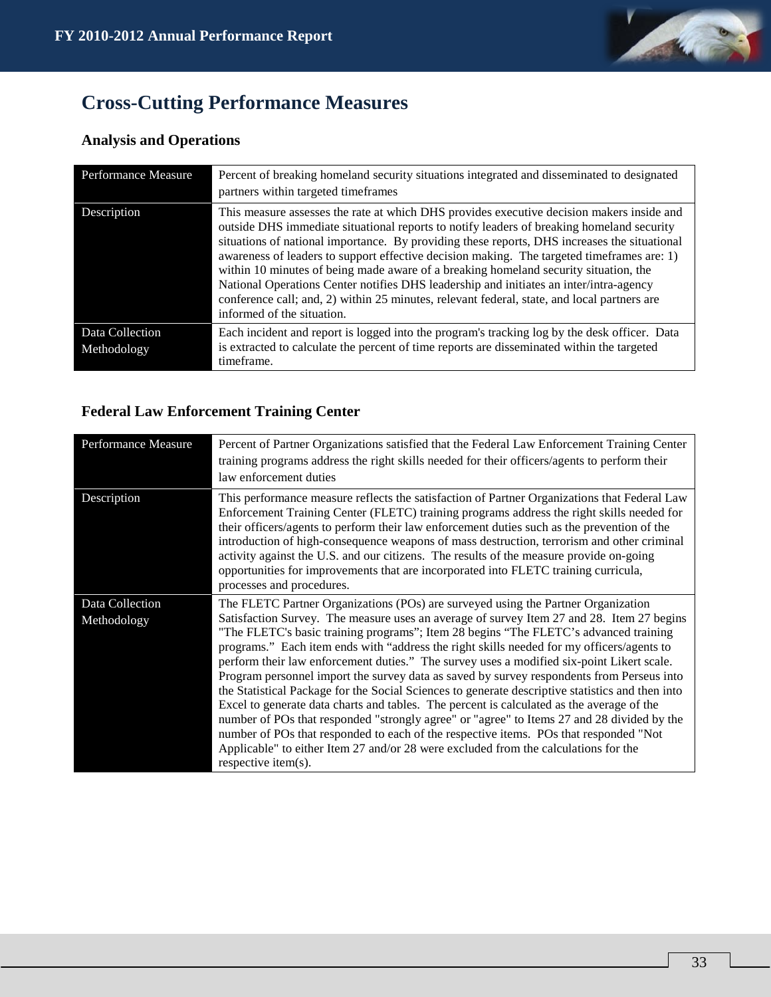

# **Cross-Cutting Performance Measures**

#### **Analysis and Operations**

| Performance Measure            | Percent of breaking homeland security situations integrated and disseminated to designated<br>partners within targeted timeframes                                                                                                                                                                                                                                                                                                                                                                                                                                                                                                                                                                   |
|--------------------------------|-----------------------------------------------------------------------------------------------------------------------------------------------------------------------------------------------------------------------------------------------------------------------------------------------------------------------------------------------------------------------------------------------------------------------------------------------------------------------------------------------------------------------------------------------------------------------------------------------------------------------------------------------------------------------------------------------------|
| Description                    | This measure assesses the rate at which DHS provides executive decision makers inside and<br>outside DHS immediate situational reports to notify leaders of breaking homeland security<br>situations of national importance. By providing these reports, DHS increases the situational<br>awareness of leaders to support effective decision making. The targeted timeframes are: 1)<br>within 10 minutes of being made aware of a breaking homeland security situation, the<br>National Operations Center notifies DHS leadership and initiates an inter/intra-agency<br>conference call; and, 2) within 25 minutes, relevant federal, state, and local partners are<br>informed of the situation. |
| Data Collection<br>Methodology | Each incident and report is logged into the program's tracking log by the desk officer. Data<br>is extracted to calculate the percent of time reports are disseminated within the targeted<br>timeframe.                                                                                                                                                                                                                                                                                                                                                                                                                                                                                            |

#### **Federal Law Enforcement Training Center**

| Performance Measure            | Percent of Partner Organizations satisfied that the Federal Law Enforcement Training Center<br>training programs address the right skills needed for their officers/agents to perform their<br>law enforcement duties                                                                                                                                                                                                                                                                                                                                                                                                                                                                                                                                                                                                                                                                                                                                                                                                                                               |
|--------------------------------|---------------------------------------------------------------------------------------------------------------------------------------------------------------------------------------------------------------------------------------------------------------------------------------------------------------------------------------------------------------------------------------------------------------------------------------------------------------------------------------------------------------------------------------------------------------------------------------------------------------------------------------------------------------------------------------------------------------------------------------------------------------------------------------------------------------------------------------------------------------------------------------------------------------------------------------------------------------------------------------------------------------------------------------------------------------------|
| Description                    | This performance measure reflects the satisfaction of Partner Organizations that Federal Law<br>Enforcement Training Center (FLETC) training programs address the right skills needed for<br>their officers/agents to perform their law enforcement duties such as the prevention of the<br>introduction of high-consequence weapons of mass destruction, terrorism and other criminal<br>activity against the U.S. and our citizens. The results of the measure provide on-going<br>opportunities for improvements that are incorporated into FLETC training curricula,<br>processes and procedures.                                                                                                                                                                                                                                                                                                                                                                                                                                                               |
| Data Collection<br>Methodology | The FLETC Partner Organizations (POs) are surveyed using the Partner Organization<br>Satisfaction Survey. The measure uses an average of survey Item 27 and 28. Item 27 begins<br>"The FLETC's basic training programs"; Item 28 begins "The FLETC's advanced training<br>programs." Each item ends with "address the right skills needed for my officers/agents to<br>perform their law enforcement duties." The survey uses a modified six-point Likert scale.<br>Program personnel import the survey data as saved by survey respondents from Perseus into<br>the Statistical Package for the Social Sciences to generate descriptive statistics and then into<br>Excel to generate data charts and tables. The percent is calculated as the average of the<br>number of POs that responded "strongly agree" or "agree" to Items 27 and 28 divided by the<br>number of POs that responded to each of the respective items. POs that responded "Not<br>Applicable" to either Item 27 and/or 28 were excluded from the calculations for the<br>respective item(s). |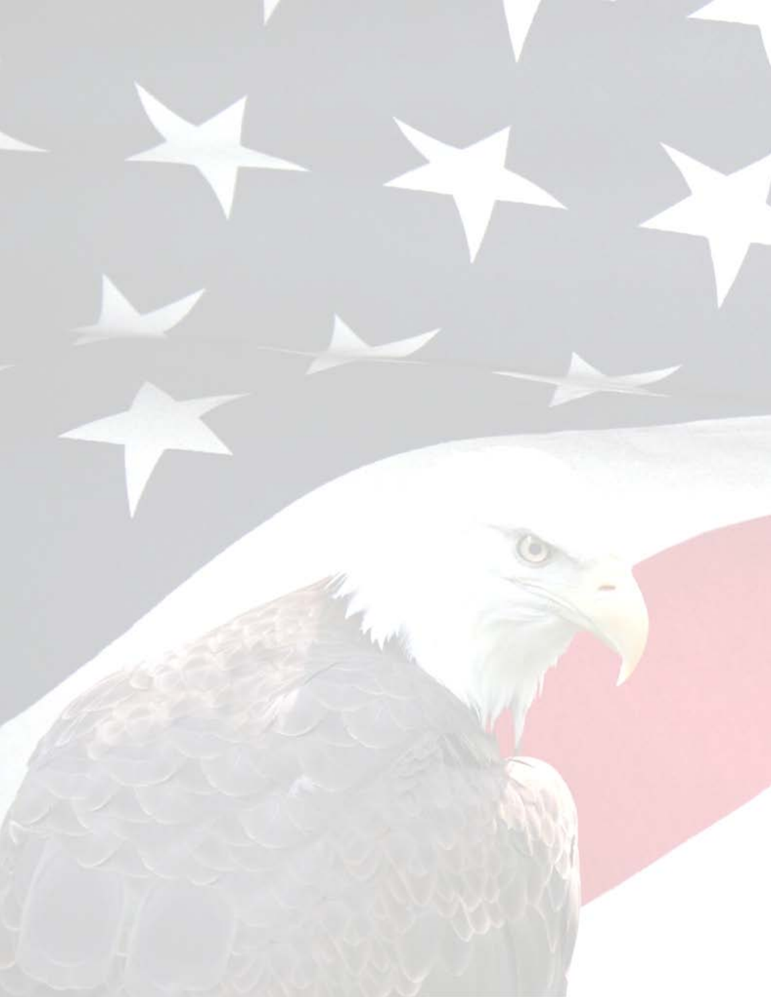